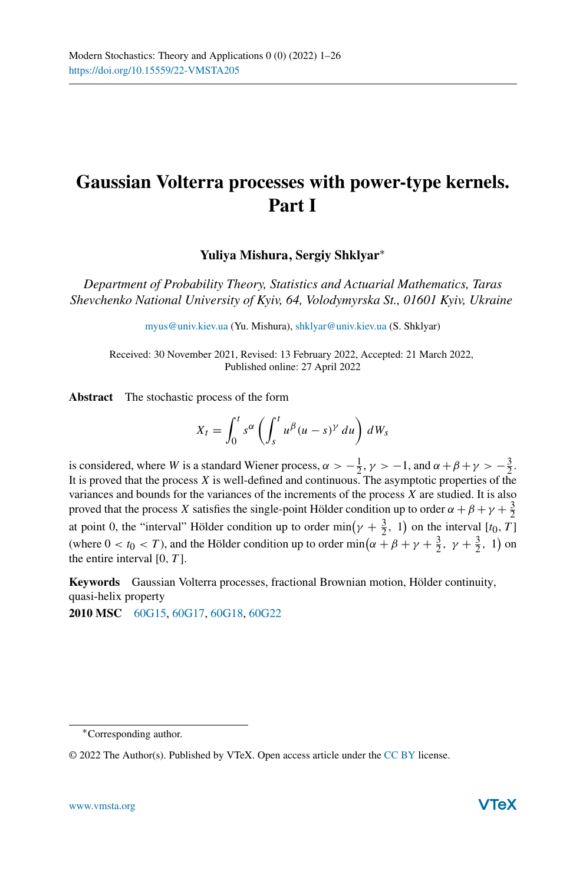# **Gaussian Volterra processes with power-type kernels. Part I**

**Yuliya Mishura, Sergiy Shklyar**<sup>∗</sup>

*Department of Probability Theory, Statistics and Actuarial Mathematics, Taras Shevchenko National University of Kyiv, 64, Volodymyrska St., 01601 Kyiv, Ukraine*

[myus@univ.kiev.ua](mailto:myus@univ.kiev.ua) (Yu. Mishura), [shklyar@univ.kiev.ua](mailto:shklyar@univ.kiev.ua) (S. Shklyar)

Received: 30 November 2021, Revised: 13 February 2022, Accepted: 21 March 2022, Published online: 27 April 2022

**Abstract** The stochastic process of the form

$$
X_t = \int_0^t s^{\alpha} \left( \int_s^t u^{\beta} (u - s)^{\gamma} du \right) dW_s
$$

is considered, where *W* is a standard Wiener process,  $\alpha > -\frac{1}{2}$ ,  $\gamma > -1$ , and  $\alpha + \beta + \gamma > -\frac{3}{2}$ . It is proved that the process *X* is well-defined and continuous. The asymptotic properties of the variances and bounds for the variances of the increments of the process *X* are studied. It is also proved that the process *X* satisfies the single-point Hölder condition up to order  $\alpha + \beta + \gamma + \frac{3}{2}$ at point 0, the "interval" Hölder condition up to order  $\min(\gamma + \frac{3}{2}, 1)$  on the interval  $[t_0, T]$ (where  $0 < t_0 < T$ ), and the Hölder condition up to order min( $\alpha + \beta + \gamma + \frac{3}{2}$ ,  $\gamma + \frac{3}{2}$ , 1) on the entire interval [0*, T* ].

**Keywords** Gaussian Volterra processes, fractional Brownian motion, Hölder continuity, quasi-helix property

**2010 MSC** [60G15,](http://www.ams.org/msc/msc2010.html?s=60G15) [60G17,](http://www.ams.org/msc/msc2010.html?s=60G17) [60G18,](http://www.ams.org/msc/msc2010.html?s=60G18) [60G22](http://www.ams.org/msc/msc2010.html?s=60G22)

<sup>∗</sup>Corresponding author.

<sup>© 2022</sup> The Author(s). Published by VTeX. Open access article under the [CC BY](http://creativecommons.org/licenses/by/4.0/) license.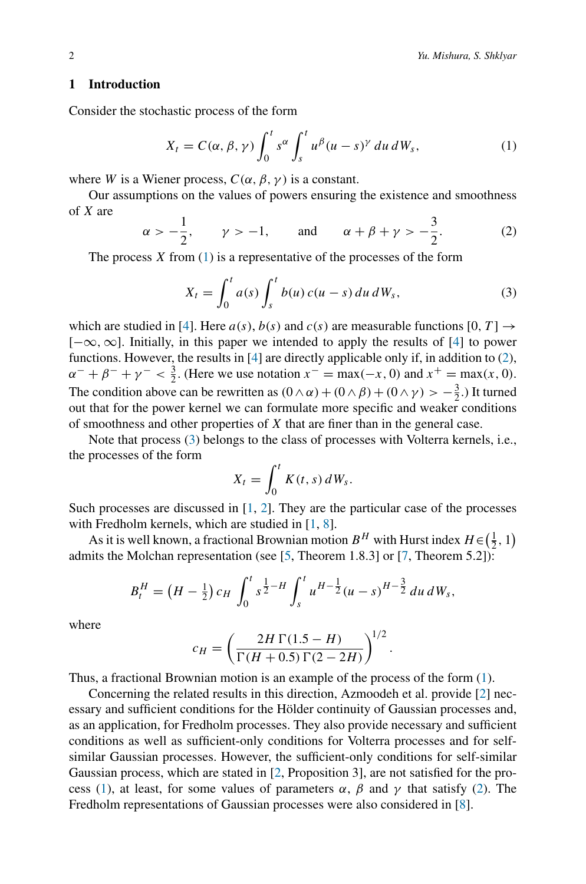# **1 Introduction**

Consider the stochastic process of the form

<span id="page-1-0"></span>
$$
X_t = C(\alpha, \beta, \gamma) \int_0^t s^\alpha \int_s^t u^\beta (u - s)^\gamma du dW_s, \qquad (1)
$$

where *W* is a Wiener process,  $C(\alpha, \beta, \gamma)$  is a constant.

Our assumptions on the values of powers ensuring the existence and smoothness of *X* are

<span id="page-1-1"></span>
$$
\alpha > -\frac{1}{2}
$$
,  $\gamma > -1$ , and  $\alpha + \beta + \gamma > -\frac{3}{2}$ . (2)

The process *X* from [\(1\)](#page-1-0) is a representative of the processes of the form

<span id="page-1-2"></span>
$$
X_t = \int_0^t a(s) \int_s^t b(u) c(u-s) du dW_s,
$$
 (3)

which are studied in [\[4\]](#page-25-0). Here  $a(s)$ ,  $b(s)$  and  $c(s)$  are measurable functions [0, T]  $\rightarrow$ [−∞*,*∞]. Initially, in this paper we intended to apply the results of [\[4](#page-25-0)] to power functions. However, the results in [\[4](#page-25-0)] are directly applicable only if, in addition to [\(2\)](#page-1-1),  $\alpha^{-} + \beta^{-} + \gamma^{-} < \frac{3}{2}$ . (Here we use notation  $x^{-} = \max(-x, 0)$  and  $x^{+} = \max(x, 0)$ . The condition above can be rewritten as  $(0 \wedge \alpha) + (0 \wedge \beta) + (0 \wedge \gamma) > -\frac{3}{2}$ .) It turned out that for the power kernel we can formulate more specific and weaker conditions of smoothness and other properties of *X* that are finer than in the general case.

Note that process [\(3\)](#page-1-2) belongs to the class of processes with Volterra kernels, i.e., the processes of the form

$$
X_t = \int_0^t K(t,s) dW_s.
$$

Such processes are discussed in [\[1,](#page-25-1) [2](#page-25-2)]. They are the particular case of the processes with Fredholm kernels, which are studied in [\[1](#page-25-1), [8](#page-25-3)].

As it is well known, a fractional Brownian motion  $B^H$  with Hurst index  $H \in (\frac{1}{2}, 1)$ admits the Molchan representation (see [\[5](#page-25-4), Theorem 1.8.3] or [\[7](#page-25-5), Theorem 5.2]):

$$
B_t^H = \left(H - \frac{1}{2}\right)c_H \int_0^t s^{\frac{1}{2}-H} \int_s^t u^{H-\frac{1}{2}} (u-s)^{H-\frac{3}{2}} du \, dW_s,
$$

where

$$
c_H = \left(\frac{2H\,\Gamma(1.5-H)}{\Gamma(H+0.5)\,\Gamma(2-2H)}\right)^{1/2}.
$$

Thus, a fractional Brownian motion is an example of the process of the form [\(1\)](#page-1-0).

Concerning the related results in this direction, Azmoodeh et al. provide [\[2](#page-25-2)] necessary and sufficient conditions for the Hölder continuity of Gaussian processes and, as an application, for Fredholm processes. They also provide necessary and sufficient conditions as well as sufficient-only conditions for Volterra processes and for selfsimilar Gaussian processes. However, the sufficient-only conditions for self-similar Gaussian process, which are stated in [\[2,](#page-25-2) Proposition 3], are not satisfied for the pro-cess [\(1\)](#page-1-0), at least, for some values of parameters  $\alpha$ ,  $\beta$  and  $\gamma$  that satisfy [\(2\)](#page-1-1). The Fredholm representations of Gaussian processes were also considered in [\[8\]](#page-25-3).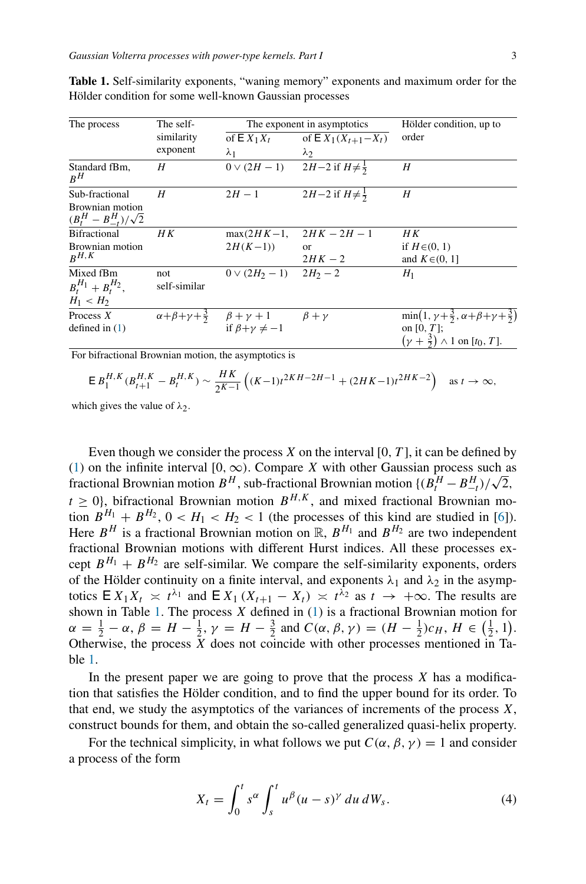| The process                                      | The self-    |                                                                   | The exponent in asymptotics                        | Hölder condition, up to                                                |
|--------------------------------------------------|--------------|-------------------------------------------------------------------|----------------------------------------------------|------------------------------------------------------------------------|
|                                                  | similarity   | of $E X_1 X_t$                                                    | of $E X_1(X_{t+1} - X_t)$                          | order                                                                  |
|                                                  | exponent     | $\lambda_1$                                                       | $\lambda_2$                                        |                                                                        |
| Standard fBm,<br>$R^H$                           | H            |                                                                   | $0 \vee (2H - 1)$ $2H - 2$ if $H \neq \frac{1}{2}$ | H                                                                      |
| Sub-fractional                                   | H            | $2H-1$                                                            | $2H-2$ if $H \neq \frac{1}{2}$                     | H                                                                      |
| Brownian motion<br>$(B_t^H - B_{-t}^H)/\sqrt{2}$ |              |                                                                   |                                                    |                                                                        |
| <b>Bifractional</b>                              | HК           | $max(2HK-1,$                                                      | $2HK - 2H - 1$                                     | H K                                                                    |
| Brownian motion                                  |              | $2H(K-1)$                                                         | $\alpha$                                           | if $H\in (0, 1)$                                                       |
| $R^{H,K}$                                        |              |                                                                   | $2HK-2$                                            | and $K \in (0, 1]$                                                     |
| Mixed fBm                                        | not          | $0 \vee (2H_2 - 1)$ $2H_2 - 2$                                    |                                                    | $H_1$                                                                  |
| $B_t^{H_1} + B_t^{H_2}$ ,                        | self-similar |                                                                   |                                                    |                                                                        |
| $H_1 < H_2$                                      |              |                                                                   |                                                    |                                                                        |
| Process $X$                                      |              | $\alpha+\beta+\gamma+\frac{3}{2}$ $\beta+\gamma+1$ $\beta+\gamma$ |                                                    | $\min(1, \gamma + \frac{3}{2}, \alpha + \beta + \gamma + \frac{3}{2})$ |
| defined in $(1)$                                 |              | if $\beta + \gamma \neq -1$                                       |                                                    | on $[0, T]$ ;                                                          |
|                                                  |              |                                                                   |                                                    | $(\gamma + \frac{3}{2}) \wedge 1$ on $[t_0, T]$ .                      |

<span id="page-2-0"></span>**Table 1.** Self-similarity exponents, "waning memory" exponents and maximum order for the Hölder condition for some well-known Gaussian processes

For bifractional Brownian motion, the asymptotics is

$$
\mathsf{E}\,B_1^{H,K}(B_{t+1}^{H,K}-B_t^{H,K})\sim \frac{HK}{2^{K-1}}\left((K-1)t^{2KH-2H-1}+(2HK-1)t^{2HK-2}\right)\quad\text{as }t\to\infty,
$$

which gives the value of  $\lambda_2$ .

Even though we consider the process *X* on the interval [0*, T* ], it can be defined by [\(1\)](#page-1-0) on the infinite interval [0,  $\infty$ ). Compare *X* with other Gaussian process such as (1) on the infinite interval  $[0, \infty)$ . Compare *X* with other Gaussian process such as fractional Brownian motion  $B^H$ , sub-fractional Brownian motion  $\left\{ \frac{B^H - B^H_{-t}}{\sqrt{2}}, \frac{B^H_{-t}}{\sqrt{2}} \right\}$  $t > 0$ , bifractional Brownian motion  $B^{H,K}$ , and mixed fractional Brownian motion  $B^{H_1} + B^{H_2}$ ,  $0 < H_1 < H_2 < 1$  (the processes of this kind are studied in [\[6](#page-25-6)]). Here  $B^H$  is a fractional Brownian motion on  $\mathbb{R}$ ,  $B^{H_1}$  and  $B^{H_2}$  are two independent fractional Brownian motions with different Hurst indices. All these processes except  $B^{H_1} + B^{H_2}$  are self-similar. We compare the self-similarity exponents, orders of the Hölder continuity on a finite interval, and exponents  $\lambda_1$  and  $\lambda_2$  in the asymptotics  $E X_1 X_t \n\asymp t^{\lambda_1}$  and  $E X_1 (X_{t+1} - X_t) \n\asymp t^{\lambda_2}$  as  $t \to +\infty$ . The results are shown in Table [1.](#page-2-0) The process *X* defined in [\(1\)](#page-1-0) is a fractional Brownian motion for  $\alpha = \frac{1}{2} - \alpha$ ,  $\beta = H - \frac{1}{2}$ ,  $\gamma = H - \frac{3}{2}$  and  $C(\alpha, \beta, \gamma) = (H - \frac{1}{2})c_H$ ,  $H \in (\frac{1}{2}, 1)$ . Otherwise, the process  $\bar{X}$  does not coincide with other processes mentioned in Table [1.](#page-2-0)

In the present paper we are going to prove that the process *X* has a modification that satisfies the Hölder condition, and to find the upper bound for its order. To that end, we study the asymptotics of the variances of increments of the process *X*, construct bounds for them, and obtain the so-called generalized quasi-helix property.

For the technical simplicity, in what follows we put  $C(\alpha, \beta, \gamma) = 1$  and consider a process of the form

<span id="page-2-1"></span>
$$
X_t = \int_0^t s^\alpha \int_s^t u^\beta (u-s)^\gamma du dW_s. \tag{4}
$$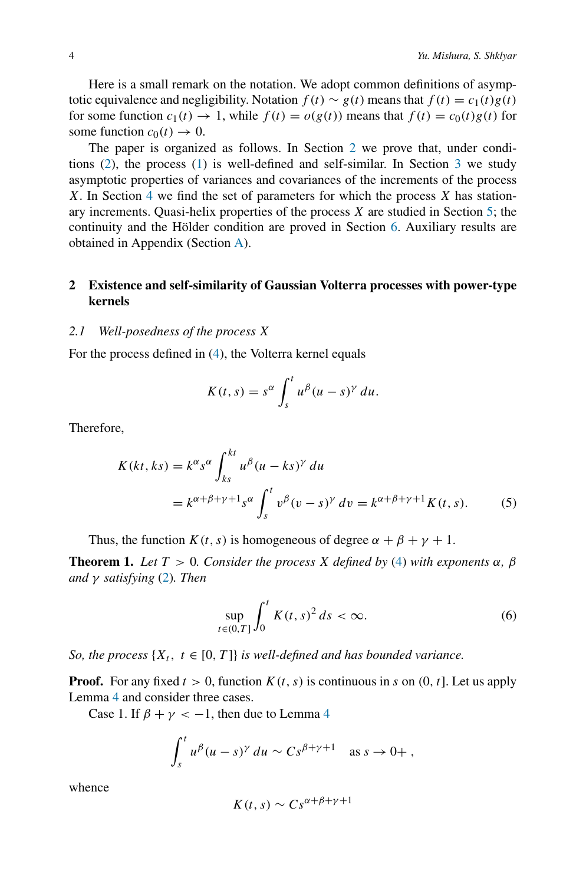Here is a small remark on the notation. We adopt common definitions of asymptotic equivalence and negligibility. Notation  $f(t) \sim g(t)$  means that  $f(t) = c_1(t)g(t)$ for some function  $c_1(t) \to 1$ , while  $f(t) = o(g(t))$  means that  $f(t) = c_0(t)g(t)$  for some function  $c_0(t) \rightarrow 0$ .

The paper is organized as follows. In Section [2](#page-3-0) we prove that, under conditions  $(2)$ , the process  $(1)$  is well-defined and self-similar. In Section [3](#page-5-0) we study asymptotic properties of variances and covariances of the increments of the process *X*. In Section [4](#page-9-0) we find the set of parameters for which the process *X* has stationary increments. Quasi-helix properties of the process *X* are studied in Section [5;](#page-11-0) the continuity and the Hölder condition are proved in Section [6.](#page-17-0) Auxiliary results are obtained in Appendix (Section [A\)](#page-19-0).

# <span id="page-3-0"></span>**2 Existence and self-similarity of Gaussian Volterra processes with power-type kernels**

## *2.1 Well-posedness of the process X*

For the process defined in [\(4\)](#page-2-1), the Volterra kernel equals

$$
K(t,s) = s^{\alpha} \int_s^t u^{\beta} (u-s)^{\gamma} du.
$$

Therefore,

$$
K(kt, ks) = k^{\alpha} s^{\alpha} \int_{ks}^{kt} u^{\beta} (u - ks)^{\gamma} du
$$
  
=  $k^{\alpha + \beta + \gamma + 1} s^{\alpha} \int_{s}^{t} v^{\beta} (v - s)^{\gamma} dv = k^{\alpha + \beta + \gamma + 1} K(t, s).$  (5)

Thus, the function *K*(*t*, *s*) is homogeneous of degree  $\alpha + \beta + \gamma + 1$ .

**Theorem 1.** *Let*  $T > 0$ *. Consider the process X defined by* [\(4\)](#page-2-1) *with exponents*  $\alpha$ *,*  $\beta$ *and γ satisfying* [\(2\)](#page-1-1)*. Then*

<span id="page-3-2"></span><span id="page-3-1"></span>
$$
\sup_{t\in(0,T]}\int_0^t K(t,s)^2\,ds\,<\infty.\tag{6}
$$

*So, the process*  $\{X_t, t \in [0, T]\}$  *is well-defined and has bounded variance.* 

**Proof.** For any fixed  $t > 0$ , function  $K(t, s)$  is continuous in *s* on  $(0, t]$ . Let us apply Lemma [4](#page-19-1) and consider three cases.

Case 1. If  $\beta + \gamma < -1$ , then due to Lemma [4](#page-19-1)

$$
\int_s^t u^\beta (u-s)^\gamma du \sim Cs^{\beta+\gamma+1} \quad \text{as } s \to 0+,
$$

whence

$$
K(t,s) \sim Cs^{\alpha+\beta+\gamma+1}
$$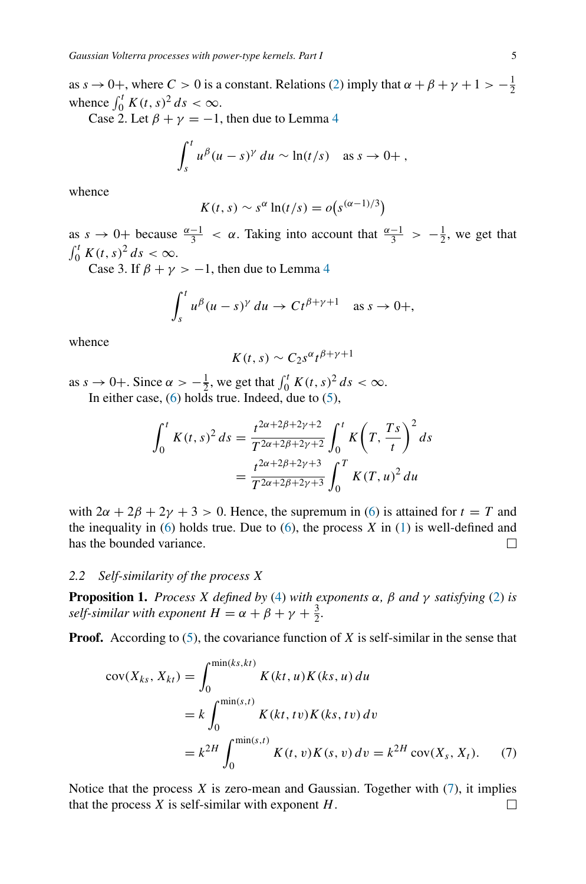as  $s \to 0^+$ , where  $C > 0$  is a constant. Relations [\(2\)](#page-1-1) imply that  $\alpha + \beta + \gamma + 1 > -\frac{1}{2}$ whence  $\int_0^t K(t, s)^2 ds < \infty$ .

Case 2. Let  $\beta + \gamma = -1$ , then due to Lemma [4](#page-19-1)

$$
\int_s^t u^\beta (u-s)^\gamma du \sim \ln(t/s) \quad \text{as } s \to 0+
$$

whence

$$
K(t,s) \sim s^{\alpha} \ln(t/s) = o(s^{(\alpha-1)/3})
$$

as  $s \to 0^+$  because  $\frac{\alpha-1}{3} < \alpha$ . Taking into account that  $\frac{\alpha-1}{3} > -\frac{1}{2}$ , we get that  $\int_0^t K(t,s)^2 ds < \infty$ .

Case 3. If  $\beta + \gamma > -1$ , then due to Lemma [4](#page-19-1)

$$
\int_s^t u^{\beta}(u-s)^{\gamma} du \to Ct^{\beta+\gamma+1} \text{ as } s \to 0+,
$$

whence

$$
K(t,s) \sim C_2 s^{\alpha} t^{\beta + \gamma + 1}
$$

as  $s \to 0^+$ . Since  $\alpha > -\frac{1}{2}$ , we get that  $\int_0^t K(t, s)^2 ds < \infty$ . In either case,  $(6)$  holds true. Indeed, due to  $(5)$ ,

$$
\int_0^t K(t,s)^2 ds = \frac{t^{2\alpha+2\beta+2\gamma+2}}{T^{2\alpha+2\beta+2\gamma+2}} \int_0^t K(T,\frac{Ts}{t})^2 ds
$$
  
= 
$$
\frac{t^{2\alpha+2\beta+2\gamma+3}}{T^{2\alpha+2\beta+2\gamma+3}} \int_0^T K(T,u)^2 du
$$

with  $2\alpha + 2\beta + 2\gamma + 3 > 0$ . Hence, the supremum in [\(6\)](#page-3-1) is attained for  $t = T$  and the inequality in  $(6)$  holds true. Due to  $(6)$ , the process  $X$  in  $(1)$  is well-defined and has the bounded variance. □

## *2.2 Self-similarity of the process X*

<span id="page-4-1"></span>**Proposition 1.** *Process X defined by* [\(4\)](#page-2-1) *with exponents*  $\alpha$ ,  $\beta$  *and*  $\gamma$  *satisfying* [\(2\)](#page-1-1) *is self-similar with exponent*  $H = \alpha + \beta + \gamma + \frac{3}{2}$ *.* 

**Proof.** According to  $(5)$ , the covariance function of *X* is self-similar in the sense that

<span id="page-4-0"></span>
$$
cov(X_{ks}, X_{kt}) = \int_0^{\min(ks,kt)} K(kt, u)K(ks, u) du
$$
  
=  $k \int_0^{\min(s, t)} K(kt, tv)K(ks, tv) dv$   
=  $k^{2H} \int_0^{\min(s, t)} K(t, v)K(s, v) dv = k^{2H} cov(X_s, X_t).$  (7)

Notice that the process  $X$  is zero-mean and Gaussian. Together with  $(7)$ , it implies that the process *X* is self-similar with exponent *H*.П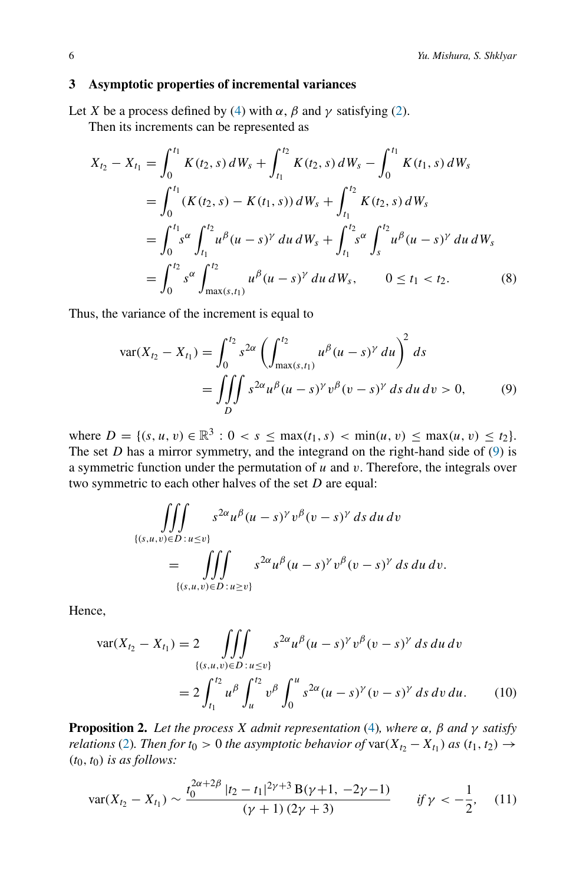## <span id="page-5-0"></span>**3 Asymptotic properties of incremental variances**

Let *X* be a process defined by [\(4\)](#page-2-1) with  $\alpha$ ,  $\beta$  and  $\gamma$  satisfying [\(2\)](#page-1-1).

Then its increments can be represented as

$$
X_{t_2} - X_{t_1} = \int_0^{t_1} K(t_2, s) dW_s + \int_{t_1}^{t_2} K(t_2, s) dW_s - \int_0^{t_1} K(t_1, s) dW_s
$$
  
\n
$$
= \int_0^{t_1} (K(t_2, s) - K(t_1, s)) dW_s + \int_{t_1}^{t_2} K(t_2, s) dW_s
$$
  
\n
$$
= \int_0^{t_1} s^\alpha \int_{t_1}^{t_2} u^\beta (u - s)^\gamma du dW_s + \int_{t_1}^{t_2} s^\alpha \int_s^{t_2} u^\beta (u - s)^\gamma du dW_s
$$
  
\n
$$
= \int_0^{t_2} s^\alpha \int_{\max(s, t_1)}^{t_2} u^\beta (u - s)^\gamma du dW_s, \qquad 0 \le t_1 < t_2.
$$
 (8)

Thus, the variance of the increment is equal to

<span id="page-5-3"></span><span id="page-5-1"></span>
$$
\text{var}(X_{t_2} - X_{t_1}) = \int_0^{t_2} s^{2\alpha} \left( \int_{\max(s,t_1)}^{t_2} u^{\beta} (u-s)^{\gamma} du \right)^2 ds
$$
  
= 
$$
\iiint_D s^{2\alpha} u^{\beta} (u-s)^{\gamma} v^{\beta} (v-s)^{\gamma} ds du dv > 0,
$$
 (9)

where  $D = \{(s, u, v) \in \mathbb{R}^3 : 0 < s \le \max(t_1, s) < \min(u, v) \le \max(u, v) \le t_2\}.$ The set  $D$  has a mirror symmetry, and the integrand on the right-hand side of  $(9)$  is a symmetric function under the permutation of *u* and *v*. Therefore, the integrals over two symmetric to each other halves of the set *D* are equal:

$$
\iiint_{\{(s,u,v)\in D : u\leq v\}} s^{2\alpha} u^{\beta} (u-s)^{\gamma} v^{\beta} (v-s)^{\gamma} ds du dv
$$
  
= 
$$
\iiint_{\{(s,u,v)\in D : u\geq v\}} s^{2\alpha} u^{\beta} (u-s)^{\gamma} v^{\beta} (v-s)^{\gamma} ds du dv.
$$

Hence,

<span id="page-5-2"></span>
$$
\text{var}(X_{t_2} - X_{t_1}) = 2 \iiint_{\{(s,u,v)\in D : u \le v\}} s^{2\alpha} u^{\beta} (u-s)^{\gamma} v^{\beta} (v-s)^{\gamma} ds du dv
$$
  

$$
= 2 \int_{t_1}^{t_2} u^{\beta} \int_{u}^{t_2} v^{\beta} \int_{0}^{u} s^{2\alpha} (u-s)^{\gamma} (v-s)^{\gamma} ds dv du. \tag{10}
$$

<span id="page-5-4"></span>**Proposition 2.** *Let the process X admit representation* [\(4\)](#page-2-1)*, where α, β and γ satisfy relations* [\(2\)](#page-1-1)*. Then for*  $t_0 > 0$  *the asymptotic behavior of*  $var(X_{t_2} - X_{t_1})$  *as*  $(t_1, t_2) \rightarrow$  $(t_0, t_0)$  *is as follows:* 

<span id="page-5-5"></span>
$$
\text{var}(X_{t_2} - X_{t_1}) \sim \frac{t_0^{2\alpha + 2\beta} |t_2 - t_1|^{2\gamma + 3} B(\gamma + 1, -2\gamma - 1)}{(\gamma + 1)(2\gamma + 3)} \qquad \text{if } \gamma < -\frac{1}{2}, \quad (11)
$$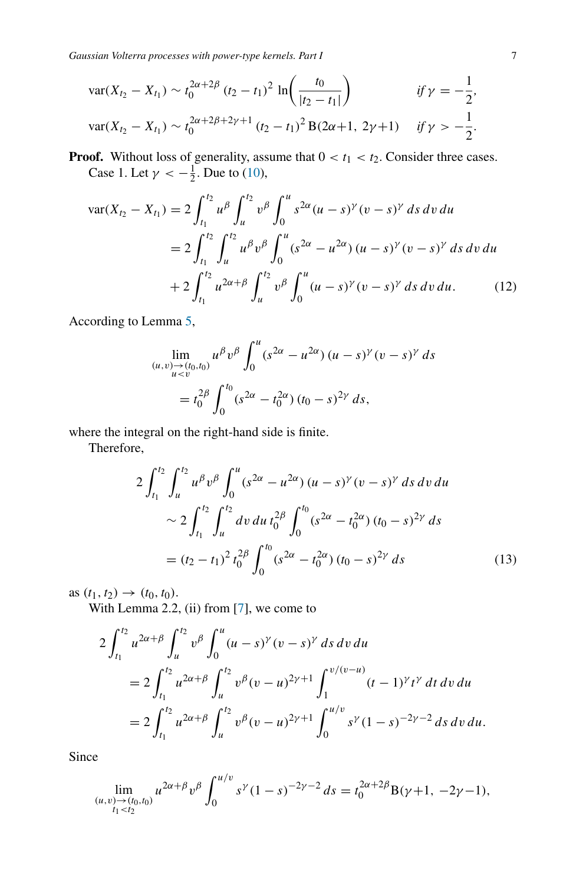*Gaussian Volterra processes with power-type kernels. Part I* 7

$$
\operatorname{var}(X_{t_2} - X_{t_1}) \sim t_0^{2\alpha + 2\beta} (t_2 - t_1)^2 \ln\left(\frac{t_0}{|t_2 - t_1|}\right) \qquad \text{if } \gamma = -\frac{1}{2},
$$
  

$$
\operatorname{var}(X_{t_2} - X_{t_1}) \sim t_0^{2\alpha + 2\beta + 2\gamma + 1} (t_2 - t_1)^2 B(2\alpha + 1, 2\gamma + 1) \qquad \text{if } \gamma > -\frac{1}{2}.
$$

**Proof.** Without loss of generality, assume that  $0 < t_1 < t_2$ . Consider three cases. Case 1. Let  $\gamma < -\frac{1}{2}$ . Due to [\(10\)](#page-5-2),

$$
\begin{split} \text{var}(X_{t_2} - X_{t_1}) &= 2 \int_{t_1}^{t_2} u^\beta \int_u^{t_2} v^\beta \int_0^u s^{2\alpha} (u - s)^\gamma (v - s)^\gamma \, ds \, dv \, du \\ &= 2 \int_{t_1}^{t_2} \int_u^{t_2} u^\beta v^\beta \int_0^u (s^{2\alpha} - u^{2\alpha}) \, (u - s)^\gamma (v - s)^\gamma \, ds \, dv \, du \\ &+ 2 \int_{t_1}^{t_2} u^{2\alpha + \beta} \int_u^{t_2} v^\beta \int_0^u (u - s)^\gamma (v - s)^\gamma \, ds \, dv \, du. \end{split} \tag{12}
$$

According to Lemma [5,](#page-21-0)

<span id="page-6-1"></span>
$$
\lim_{\substack{(u,v)\to(t_0,t_0)\ u  
=  $t_0^{2\beta}\int_0^{t_0} (s^{2\alpha} - t_0^{2\alpha})(t_0 - s)^{2\gamma} ds,$
$$

where the integral on the right-hand side is finite.

Therefore,

<span id="page-6-0"></span>
$$
2\int_{t_1}^{t_2} \int_u^{t_2} u^{\beta} v^{\beta} \int_0^u (s^{2\alpha} - u^{2\alpha}) (u - s)^{\gamma} (v - s)^{\gamma} ds dv du
$$
  

$$
\sim 2\int_{t_1}^{t_2} \int_u^{t_2} dv du t_0^{2\beta} \int_0^{t_0} (s^{2\alpha} - t_0^{2\alpha}) (t_0 - s)^{2\gamma} ds
$$
  

$$
= (t_2 - t_1)^2 t_0^{2\beta} \int_0^{t_0} (s^{2\alpha} - t_0^{2\alpha}) (t_0 - s)^{2\gamma} ds
$$
 (13)

as  $(t_1, t_2) \to (t_0, t_0)$ .

With Lemma 2.2, (ii) from  $[7]$ , we come to

$$
2\int_{t_1}^{t_2} u^{2\alpha+\beta} \int_u^{t_2} v^{\beta} \int_0^u (u-s)^{\gamma} (v-s)^{\gamma} ds dv du
$$
  
= 
$$
2\int_{t_1}^{t_2} u^{2\alpha+\beta} \int_u^{t_2} v^{\beta} (v-u)^{2\gamma+1} \int_1^{v/(v-u)} (t-u)^{\gamma} t^{\gamma} dt dv du
$$
  
= 
$$
2\int_{t_1}^{t_2} u^{2\alpha+\beta} \int_u^{t_2} v^{\beta} (v-u)^{2\gamma+1} \int_0^{u/v} s^{\gamma} (1-s)^{-2\gamma-2} ds dv du.
$$

Since

$$
\lim_{\substack{(u,v)\to(t_0,t_0)\\t_1
$$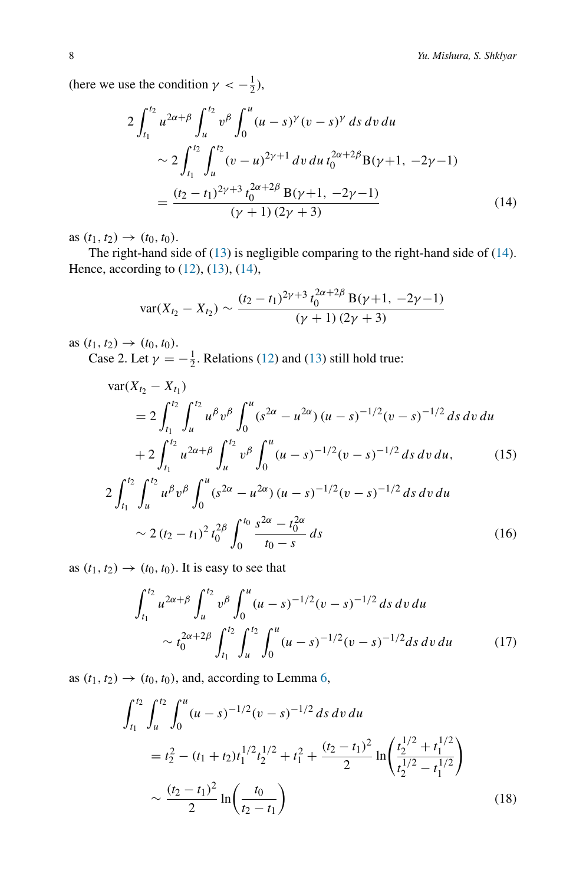(here we use the condition  $\gamma < -\frac{1}{2}$ ),

$$
2\int_{t_1}^{t_2} u^{2\alpha+\beta} \int_u^{t_2} v^{\beta} \int_0^u (u-s)^\gamma (v-s)^\gamma \, ds \, dv \, du
$$
  
 
$$
\sim 2\int_{t_1}^{t_2} \int_u^{t_2} (v-u)^{2\gamma+1} \, dv \, du \, t_0^{2\alpha+2\beta} B(\gamma+1, -2\gamma-1)
$$
  

$$
= \frac{(t_2-t_1)^{2\gamma+3} t_0^{2\alpha+2\beta} B(\gamma+1, -2\gamma-1)}{(\gamma+1) (2\gamma+3)}
$$
(14)

as  $(t_1, t_2) \to (t_0, t_0)$ .

The right-hand side of [\(13\)](#page-6-0) is negligible comparing to the right-hand side of [\(14\)](#page-7-0). Hence, according to [\(12\)](#page-6-1), [\(13\)](#page-6-0), [\(14\)](#page-7-0),

<span id="page-7-4"></span><span id="page-7-0"></span>
$$
\text{var}(X_{t_2} - X_{t_2}) \sim \frac{(t_2 - t_1)^{2\gamma + 3} t_0^{2\alpha + 2\beta} \mathbf{B}(\gamma + 1, -2\gamma - 1)}{(\gamma + 1)(2\gamma + 3)}
$$

as  $(t_1, t_2) \to (t_0, t_0)$ .

Case 2. Let  $\gamma = -\frac{1}{2}$ . Relations [\(12\)](#page-6-1) and [\(13\)](#page-6-0) still hold true:

$$
\begin{split} \text{var}(X_{t_2} - X_{t_1}) \\ &= 2 \int_{t_1}^{t_2} \int_u^{t_2} u^\beta v^\beta \int_0^u (s^{2\alpha} - u^{2\alpha}) (u - s)^{-1/2} (v - s)^{-1/2} \, ds \, dv \, du \\ &+ 2 \int_{t_1}^{t_2} u^{2\alpha + \beta} \int_u^{t_2} v^\beta \int_0^u (u - s)^{-1/2} (v - s)^{-1/2} \, ds \, dv \, du, \end{split} \tag{15}
$$

$$
2\int_{t_1}^{t_2} \int_u^{t_2} u^{\beta} v^{\beta} \int_0^u (s^{2\alpha} - u^{2\alpha}) (u - s)^{-1/2} (v - s)^{-1/2} ds dv du
$$
  
 
$$
\sim 2 (t_2 - t_1)^2 t_0^{2\beta} \int_0^{t_0} \frac{s^{2\alpha} - t_0^{2\alpha}}{t_0 - s} ds
$$
 (16)

as  $(t_1, t_2) \rightarrow (t_0, t_0)$ . It is easy to see that

<span id="page-7-2"></span><span id="page-7-1"></span>
$$
\int_{t_1}^{t_2} u^{2\alpha+\beta} \int_u^{t_2} v^{\beta} \int_0^u (u-s)^{-1/2} (v-s)^{-1/2} ds dv du
$$
  
 
$$
\sim t_0^{2\alpha+2\beta} \int_{t_1}^{t_2} \int_u^{t_2} \int_0^u (u-s)^{-1/2} (v-s)^{-1/2} ds dv du \qquad (17)
$$

as  $(t_1, t_2) \rightarrow (t_0, t_0)$ , and, according to Lemma [6,](#page-22-0)

<span id="page-7-3"></span>
$$
\int_{t_1}^{t_2} \int_u^{t_2} \int_0^u (u-s)^{-1/2} (v-s)^{-1/2} ds dv du
$$
  
=  $t_2^2 - (t_1 + t_2) t_1^{1/2} t_2^{1/2} + t_1^2 + \frac{(t_2 - t_1)^2}{2} \ln\left(\frac{t_2^{1/2} + t_1^{1/2}}{t_2^{1/2} - t_1^{1/2}}\right)$   

$$
\sim \frac{(t_2 - t_1)^2}{2} \ln\left(\frac{t_0}{t_2 - t_1}\right)
$$
(18)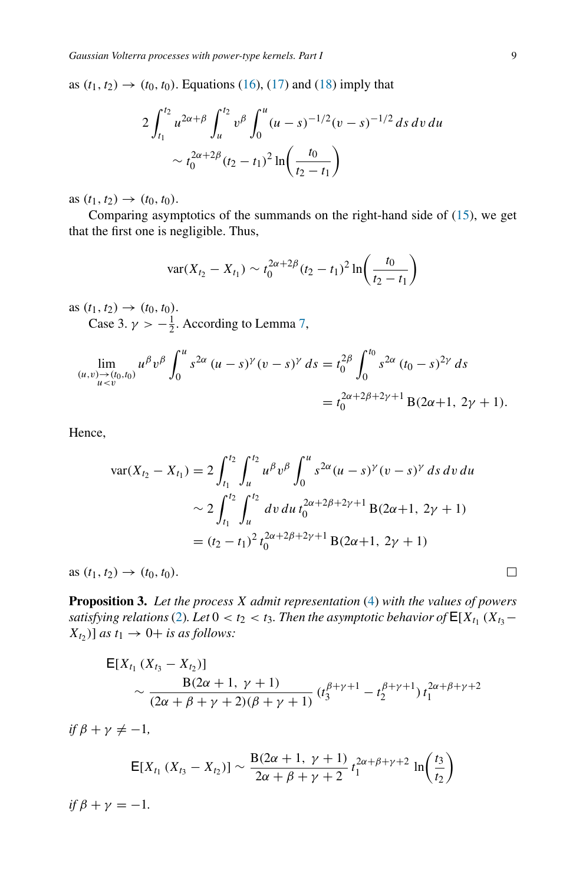as  $(t_1, t_2) \to (t_0, t_0)$ . Equations [\(16\)](#page-7-1), [\(17\)](#page-7-2) and [\(18\)](#page-7-3) imply that

$$
2\int_{t_1}^{t_2} u^{2\alpha+\beta} \int_u^{t_2} v^{\beta} \int_0^u (u-s)^{-1/2} (v-s)^{-1/2} ds dv du
$$
  
 
$$
\sim t_0^{2\alpha+2\beta} (t_2 - t_1)^2 \ln\left(\frac{t_0}{t_2 - t_1}\right)
$$

as  $(t_1, t_2) \rightarrow (t_0, t_0)$ .

Comparing asymptotics of the summands on the right-hand side of [\(15\)](#page-7-4), we get that the first one is negligible. Thus,

$$
\text{var}(X_{t_2} - X_{t_1}) \sim t_0^{2\alpha + 2\beta} (t_2 - t_1)^2 \ln\left(\frac{t_0}{t_2 - t_1}\right)
$$

as  $(t_1, t_2) \to (t_0, t_0)$ .

Case 3.  $\gamma > -\frac{1}{2}$ . According to Lemma [7,](#page-23-0)

$$
\lim_{\substack{(u,v)\to(t_0,t_0)\\ u  
=  $t_0^{2\alpha+2\beta+2\gamma+1} B(2\alpha+1, 2\gamma+1).$
$$

Hence,

$$
\begin{aligned} \text{var}(X_{t_2} - X_{t_1}) &= 2 \int_{t_1}^{t_2} \int_u^{t_2} u^\beta v^\beta \int_0^u s^{2\alpha} (u - s)^\gamma (v - s)^\gamma \, ds \, dv \, du \\ &\sim 2 \int_{t_1}^{t_2} \int_u^{t_2} dv \, du \, t_0^{2\alpha + 2\beta + 2\gamma + 1} \, \text{B}(2\alpha + 1, \, 2\gamma + 1) \\ &= (t_2 - t_1)^2 \, t_0^{2\alpha + 2\beta + 2\gamma + 1} \, \text{B}(2\alpha + 1, \, 2\gamma + 1) \end{aligned}
$$

 $\text{as } (t_1, t_2) \to (t_0, t_0).$ 

<span id="page-8-0"></span>**Proposition 3.** *Let the process X admit representation* [\(4\)](#page-2-1) *with the values of powers satisfying relations* [\(2\)](#page-1-1)*. Let*  $0 < t_2 < t_3$ *. Then the asymptotic behavior of*  $E[X_{t_1} (X_{t_3} (X_{t_2})$ ] *as*  $t_1 \rightarrow 0$  + *is as follows:* 

$$
E[X_{t_1}(X_{t_3} - X_{t_2})]
$$
  
 
$$
\sim \frac{B(2\alpha + 1, \gamma + 1)}{(2\alpha + \beta + \gamma + 2)(\beta + \gamma + 1)} (t_3^{\beta + \gamma + 1} - t_2^{\beta + \gamma + 1}) t_1^{2\alpha + \beta + \gamma + 2}
$$

 $if \beta + \gamma \neq -1,$ 

$$
E[X_{t_1}(X_{t_3}-X_{t_2})] \sim \frac{B(2\alpha+1, \gamma+1)}{2\alpha+\beta+\gamma+2} t_1^{2\alpha+\beta+\gamma+2} \ln\left(\frac{t_3}{t_2}\right)
$$

*if*  $\beta + \gamma = -1$ *.* 

 $\Box$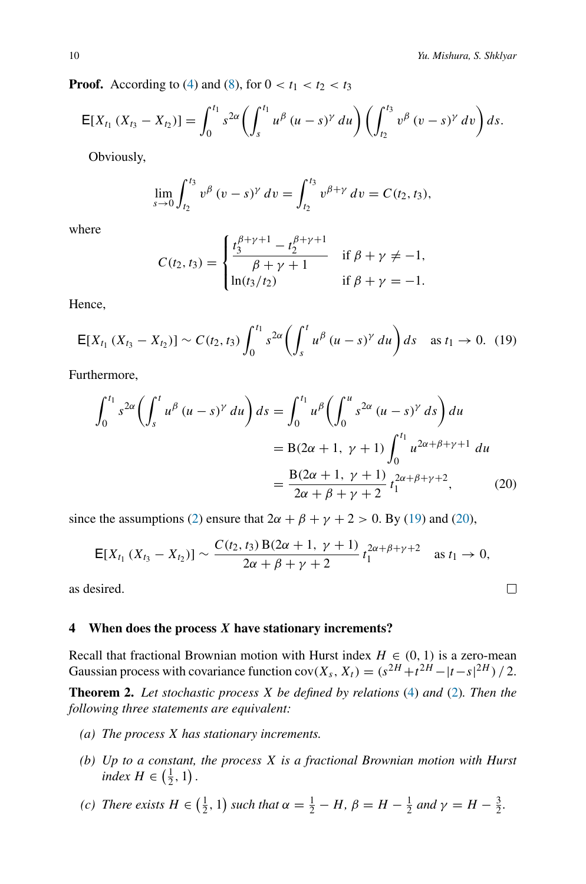<span id="page-9-2"></span><span id="page-9-1"></span> $\Box$ 

**Proof.** According to [\(4\)](#page-2-1) and [\(8\)](#page-5-3), for  $0 < t_1 < t_2 < t_3$ 

$$
\mathsf{E}[X_{t_1}(X_{t_3}-X_{t_2})]=\int_0^{t_1} s^{2\alpha}\left(\int_s^{t_1} u^{\beta}(u-s)^{\gamma}\,du\right)\left(\int_{t_2}^{t_3} v^{\beta}(v-s)^{\gamma}\,dv\right)ds.
$$

Obviously,

$$
\lim_{s \to 0} \int_{t_2}^{t_3} v^{\beta} (v - s)^{\gamma} dv = \int_{t_2}^{t_3} v^{\beta + \gamma} dv = C(t_2, t_3),
$$

where

$$
C(t_2, t_3) = \begin{cases} \frac{t_3^{\beta + \gamma + 1} - t_2^{\beta + \gamma + 1}}{\beta + \gamma + 1} & \text{if } \beta + \gamma \neq -1, \\ \ln(t_3/t_2) & \text{if } \beta + \gamma = -1. \end{cases}
$$

Hence,

$$
\mathsf{E}[X_{t_1}(X_{t_3}-X_{t_2})]\sim C(t_2,t_3)\int_0^{t_1} s^{2\alpha}\left(\int_s^t u^{\beta}(u-s)^{\gamma}\,du\right)ds\quad\text{as }t_1\to 0.\tag{19}
$$

Furthermore,

$$
\int_0^{t_1} s^{2\alpha} \left( \int_s^t u^{\beta} (u - s)^{\gamma} du \right) ds = \int_0^{t_1} u^{\beta} \left( \int_0^u s^{2\alpha} (u - s)^{\gamma} ds \right) du
$$
  
= B(2\alpha + 1, \gamma + 1)  $\int_0^{t_1} u^{2\alpha + \beta + \gamma + 1} du$   
=  $\frac{B(2\alpha + 1, \gamma + 1)}{2\alpha + \beta + \gamma + 2} t_1^{2\alpha + \beta + \gamma + 2}$ , (20)

since the assumptions [\(2\)](#page-1-1) ensure that  $2\alpha + \beta + \gamma + 2 > 0$ . By [\(19\)](#page-9-1) and [\(20\)](#page-9-2),

$$
E[X_{t_1}(X_{t_3}-X_{t_2})] \sim \frac{C(t_2,t_3) B(2\alpha+1,\gamma+1)}{2\alpha+\beta+\gamma+2} t_1^{2\alpha+\beta+\gamma+2} \text{ as } t_1 \to 0,
$$

as desired.

#### <span id="page-9-0"></span>**4 When does the process** *X* **have stationary increments?**

Recall that fractional Brownian motion with Hurst index  $H \in (0, 1)$  is a zero-mean Gaussian process with covariance function  $cov(X_s, X_t) = (s^{2H} + t^{2H} - |t-s|^{2H})/2$ .

**Theorem 2.** *Let stochastic process X be defined by relations* [\(4\)](#page-2-1) *and* [\(2\)](#page-1-1)*. Then the following three statements are equivalent:*

- *(a) The process X has stationary increments.*
- *(b) Up to a constant, the process X is a fractional Brownian motion with Hurst index*  $H \in (\frac{1}{2}, 1)$ .
- (c) There exists  $H \in \left(\frac{1}{2}, 1\right)$  such that  $\alpha = \frac{1}{2} H$ ,  $\beta = H \frac{1}{2}$  and  $\gamma = H \frac{3}{2}$ .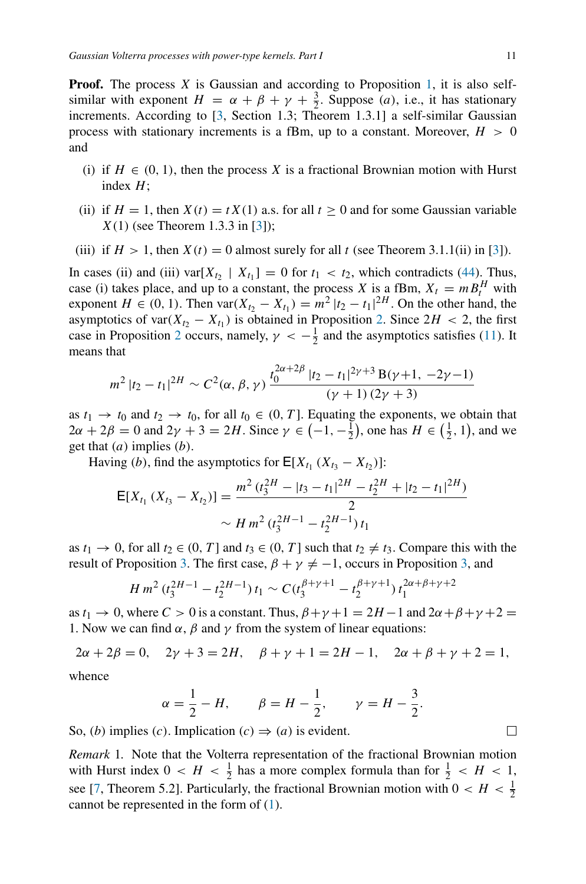**Proof.** The process *X* is Gaussian and according to Proposition [1,](#page-4-1) it is also selfsimilar with exponent  $H = \alpha + \beta + \gamma + \frac{3}{2}$ . Suppose *(a)*, i.e., it has stationary increments. According to [\[3](#page-25-7), Section 1.3; Theorem 1.3.1] a self-similar Gaussian process with stationary increments is a fBm, up to a constant. Moreover, *H >* 0 and

- (i) if  $H \in (0, 1)$ , then the process X is a fractional Brownian motion with Hurst index *H*;
- (ii) if  $H = 1$ , then  $X(t) = tX(1)$  a.s. for all  $t \ge 0$  and for some Gaussian variable *X(*1*)* (see Theorem 1.3.3 in [\[3\]](#page-25-7));
- (iii) if  $H > 1$ , then  $X(t) = 0$  almost surely for all t (see Theorem 3.1.1(ii) in [\[3](#page-25-7)]).

In cases (ii) and (iii) var $[X_{t_2} \mid X_{t_1}] = 0$  for  $t_1 < t_2$ , which contradicts [\(44\)](#page-24-0). Thus, case (i) takes place, and up to a constant, the process *X* is a fBm,  $X_t = m B_t^H$  with exponent  $H \in (0, 1)$ . Then  $\text{var}(X_{t_2} - X_{t_1}) = m^2 |t_2 - t_1|^{2H}$ . On the other hand, the asymptotics of var $(X_{t_2} - X_{t_1})$  is obtained in Proposition [2.](#page-5-4) Since  $2H < 2$ , the first case in Proposition [2](#page-5-4) occurs, namely,  $\gamma < -\frac{1}{2}$  and the asymptotics satisfies [\(11\)](#page-5-5). It means that

$$
m^{2} |t_{2} - t_{1}|^{2H} \sim C^{2}(\alpha, \beta, \gamma) \frac{t_{0}^{2\alpha + 2\beta} |t_{2} - t_{1}|^{2\gamma + 3} B(\gamma + 1, -2\gamma - 1)}{(\gamma + 1) (2\gamma + 3)}
$$

as  $t_1 \rightarrow t_0$  and  $t_2 \rightarrow t_0$ , for all  $t_0 \in (0, T]$ . Equating the exponents, we obtain that  $2\alpha + 2\beta = 0$  and  $2\gamma + 3 = 2H$ . Since  $\gamma \in \left(-1, -\frac{1}{2}\right)$ , one has  $H \in \left(\frac{1}{2}, 1\right)$ , and we get that *(a)* implies *(b)*.

Having *(b)*, find the asymptotics for  $E[X_{t_1} (X_{t_3} - X_{t_2})]$ :

$$
E[X_{t_1}(X_{t_3} - X_{t_2})] = \frac{m^2 (t_3^{2H} - |t_3 - t_1|^{2H} - t_2^{2H} + |t_2 - t_1|^{2H})}{2}
$$
  
 
$$
\sim H m^2 (t_3^{2H-1} - t_2^{2H-1}) t_1
$$

as  $t_1 \rightarrow 0$ , for all  $t_2 \in (0, T]$  and  $t_3 \in (0, T]$  such that  $t_2 \neq t_3$ . Compare this with the result of Proposition [3.](#page-8-0) The first case,  $\beta + \gamma \neq -1$ , occurs in Proposition [3,](#page-8-0) and

$$
H m^2 (t_3^{2H-1} - t_2^{2H-1}) t_1 \sim C (t_3^{\beta+\gamma+1} - t_2^{\beta+\gamma+1}) t_1^{2\alpha+\beta+\gamma+2}
$$

as  $t_1 \rightarrow 0$ , where  $C > 0$  is a constant. Thus,  $\beta + \gamma + 1 = 2H - 1$  and  $2\alpha + \beta + \gamma + 2 =$ 1. Now we can find  $\alpha$ ,  $\beta$  and  $\gamma$  from the system of linear equations:

$$
2\alpha + 2\beta = 0
$$
,  $2\gamma + 3 = 2H$ ,  $\beta + \gamma + 1 = 2H - 1$ ,  $2\alpha + \beta + \gamma + 2 = 1$ ,

whence

$$
\alpha = \frac{1}{2} - H
$$
,  $\beta = H - \frac{1}{2}$ ,  $\gamma = H - \frac{3}{2}$ 

So, *(b)* implies *(c)*. Implication  $(c) \Rightarrow (a)$  is evident.

*Remark* 1*.* Note that the Volterra representation of the fractional Brownian motion with Hurst index  $0 < H < \frac{1}{2}$  has a more complex formula than for  $\frac{1}{2} < H < 1$ , see [\[7,](#page-25-5) Theorem 5.2]. Particularly, the fractional Brownian motion with  $0 < H < \frac{1}{2}$ cannot be represented in the form of [\(1\)](#page-1-0).

 $\Box$ 

*.*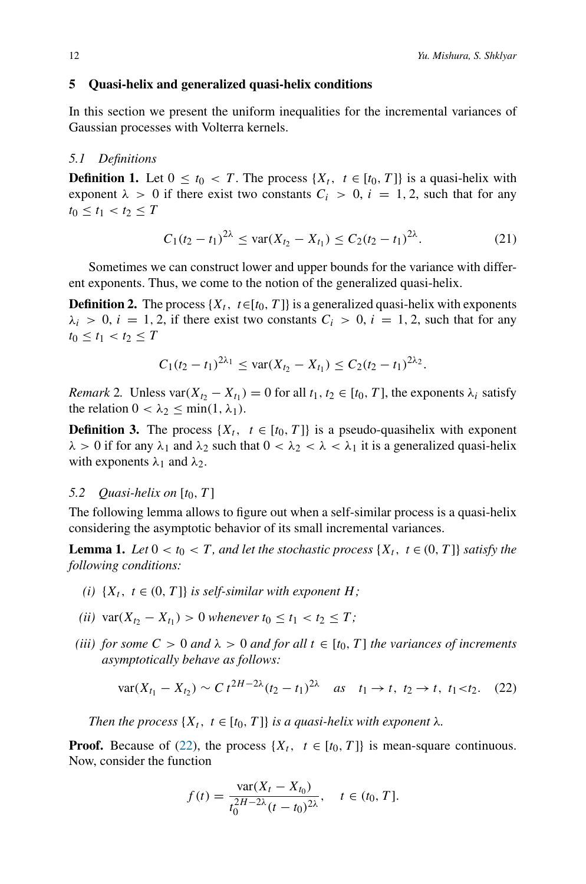## <span id="page-11-0"></span>**5 Quasi-helix and generalized quasi-helix conditions**

In this section we present the uniform inequalities for the incremental variances of Gaussian processes with Volterra kernels.

#### *5.1 Definitions*

**Definition 1.** Let  $0 \le t_0 < T$ . The process  $\{X_t, t \in [t_0, T]\}$  is a quasi-helix with exponent  $\lambda > 0$  if there exist two constants  $C_i > 0$ ,  $i = 1, 2$ , such that for any  $t_0 \leq t_1 < t_2 \leq T$ 

<span id="page-11-2"></span>
$$
C_1(t_2 - t_1)^{2\lambda} \le \text{var}(X_{t_2} - X_{t_1}) \le C_2(t_2 - t_1)^{2\lambda}.
$$
 (21)

Sometimes we can construct lower and upper bounds for the variance with different exponents. Thus, we come to the notion of the generalized quasi-helix.

**Definition 2.** The process  $\{X_t, t \in [t_0, T]\}$  is a generalized quasi-helix with exponents  $\lambda_i > 0$ ,  $i = 1, 2$ , if there exist two constants  $C_i > 0$ ,  $i = 1, 2$ , such that for any  $t_0 \le t_1 < t_2 \le T$ 

$$
C_1(t_2-t_1)^{2\lambda_1} \leq \text{var}(X_{t_2}-X_{t_1}) \leq C_2(t_2-t_1)^{2\lambda_2}.
$$

<span id="page-11-4"></span>*Remark* 2*.* Unless var $(X_{t_2} - X_{t_1}) = 0$  for all  $t_1, t_2 \in [t_0, T]$ , the exponents  $\lambda_i$  satisfy the relation  $0 < \lambda_2 \le \min(1, \lambda_1)$ .

**Definition 3.** The process  $\{X_t, t \in [t_0, T]\}$  is a pseudo-quasihelix with exponent  $\lambda > 0$  if for any  $\lambda_1$  and  $\lambda_2$  such that  $0 < \lambda_2 < \lambda < \lambda_1$  it is a generalized quasi-helix with exponents  $\lambda_1$  and  $\lambda_2$ .

## *5.2 Quasi-helix on*  $[t_0, T]$

The following lemma allows to figure out when a self-similar process is a quasi-helix considering the asymptotic behavior of its small incremental variances.

<span id="page-11-3"></span>**Lemma 1.** *Let*  $0 < t_0 < T$ *, and let the stochastic process*  $\{X_t, t \in (0, T]\}$  *satisfy the following conditions:*

- *(i)*  $\{X_t, t \in (0, T]\}$  *is self-similar with exponent H;*
- *(ii)* var $(X_{t_2} X_{t_1}) > 0$  *whenever*  $t_0 \le t_1 < t_2 \le T$ ;
- *(iii)* for some  $C > 0$  *and*  $\lambda > 0$  *and* for all  $t \in [t_0, T]$  *the variances of increments asymptotically behave as follows:*

<span id="page-11-1"></span>
$$
\text{var}(X_{t_1} - X_{t_2}) \sim C \, t^{2H - 2\lambda} (t_2 - t_1)^{2\lambda} \quad \text{as} \quad t_1 \to t, \ t_2 \to t, \ t_1 < t_2. \tag{22}
$$

*Then the process*  $\{X_t, t \in [t_0, T]\}$  *is a quasi-helix with exponent*  $\lambda$ *.* 

**Proof.** Because of [\(22\)](#page-11-1), the process  $\{X_t, t \in [t_0, T]\}$  is mean-square continuous. Now, consider the function

$$
f(t) = \frac{\text{var}(X_t - X_{t_0})}{t_0^{2H - 2\lambda}(t - t_0)^{2\lambda}}, \quad t \in (t_0, T].
$$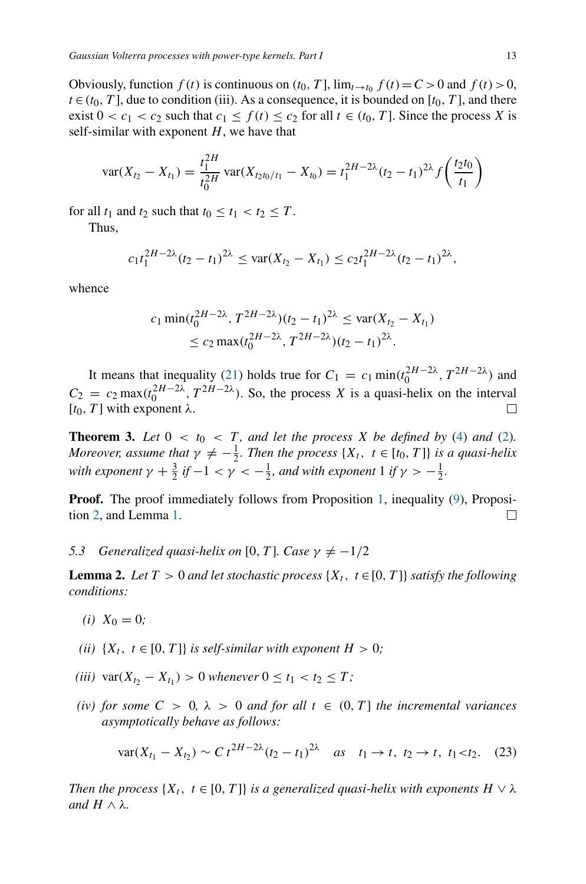Obviously, function  $f(t)$  is continuous on  $(t_0, T]$ ,  $\lim_{t \to t_0} f(t) = C > 0$  and  $f(t) > 0$ ,  $t \in (t_0, T]$ , due to condition (iii). As a consequence, it is bounded on [ $t_0, T$ ], and there exist  $0 < c_1 < c_2$  such that  $c_1 \leq f(t) \leq c_2$  for all  $t \in (t_0, T]$ . Since the process X is self-similar with exponent *H*, we have that

$$
\text{var}(X_{t_2} - X_{t_1}) = \frac{t_1^{2H}}{t_0^{2H}} \text{var}(X_{t_2t_0/t_1} - X_{t_0}) = t_1^{2H-2\lambda} (t_2 - t_1)^{2\lambda} f\left(\frac{t_2t_0}{t_1}\right)
$$

for all  $t_1$  and  $t_2$  such that  $t_0 \le t_1 < t_2 \le T$ .

Thus,

$$
c_1t_1^{2H-2\lambda}(t_2-t_1)^{2\lambda}\leq \text{var}(X_{t_2}-X_{t_1})\leq c_2t_1^{2H-2\lambda}(t_2-t_1)^{2\lambda},
$$

whence

$$
c_1 \min(t_0^{2H-2\lambda}, T^{2H-2\lambda})(t_2 - t_1)^{2\lambda} \le \text{var}(X_{t_2} - X_{t_1})
$$
  
 
$$
\le c_2 \max(t_0^{2H-2\lambda}, T^{2H-2\lambda})(t_2 - t_1)^{2\lambda}.
$$

It means that inequality [\(21\)](#page-11-2) holds true for  $C_1 = c_1 \min(t_0^{2H-2\lambda}, T^{2H-2\lambda})$  and  $C_2 = c_2 \max(t_0^{2H-2\lambda}, T^{2H-2\lambda})$ . So, the process *X* is a quasi-helix on the interval  $[t<sub>0</sub>, T]$  with exponent λ. □

<span id="page-12-2"></span>**Theorem 3.** Let  $0 < t_0 < T$ , and let the process X be defined by [\(4\)](#page-2-1) and [\(2\)](#page-1-1). *Moreover, assume that*  $\gamma \neq -\frac{1}{2}$ *. Then the process*  $\{X_t, t \in [t_0, T]\}$  *is a quasi-helix with exponent*  $\gamma + \frac{3}{2}$  *if*  $-1 < \gamma < -\frac{1}{2}$ *, and with exponent* 1 *if*  $\gamma > -\frac{1}{2}$ *.* 

**Proof.** The proof immediately follows from Proposition [1,](#page-4-1) inequality [\(9\)](#page-5-1), Proposition [2,](#page-5-4) and Lemma [1.](#page-11-3) □

*5.3 Generalized quasi-helix on* [0*, T*]*. Case*  $\gamma \neq -1/2$ 

<span id="page-12-1"></span>**Lemma 2.** *Let*  $T > 0$  *and let stochastic process*  $\{X_t, t \in [0, T]\}$  *satisfy the following conditions:*

- $(i)$   $X_0 = 0$ ;
- *(ii)*  $\{X_t, t \in [0, T]\}$  *is self-similar with exponent*  $H > 0$ ;
- *(iii)*  $var(X_{t_2} X_{t_1}) > 0$  *whenever*  $0 \le t_1 < t_2 \le T$ ;
- *(iv)* for some  $C > 0$ ,  $\lambda > 0$  and for all  $t \in (0, T]$  the incremental variances *asymptotically behave as follows:*

<span id="page-12-0"></span>
$$
\text{var}(X_{t_1} - X_{t_2}) \sim C \, t^{2H - 2\lambda} (t_2 - t_1)^{2\lambda} \quad \text{as} \quad t_1 \to t, \ t_2 \to t, \ t_1 < t_2. \tag{23}
$$

*Then the process*  $\{X_t, t \in [0, T]\}$  *is a generalized quasi-helix with exponents*  $H \vee \lambda$ *and*  $H$  ∧  $λ$ *.*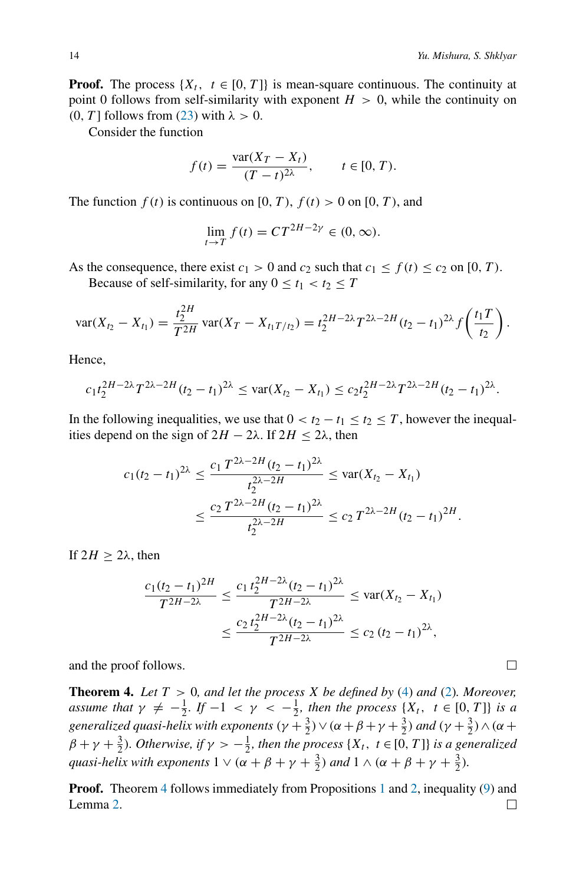**Proof.** The process  $\{X_t, t \in [0, T]\}$  is mean-square continuous. The continuity at point 0 follows from self-similarity with exponent  $H > 0$ , while the continuity on *(*0*, T* ] follows from [\(23\)](#page-12-0) with *λ >* 0.

Consider the function

$$
f(t) = \frac{\text{var}(X_T - X_t)}{(T - t)^{2\lambda}}, \qquad t \in [0, T).
$$

The function  $f(t)$  is continuous on [0, T),  $f(t) > 0$  on [0, T), and

$$
\lim_{t \to T} f(t) = CT^{2H-2\gamma} \in (0, \infty).
$$

As the consequence, there exist  $c_1 > 0$  and  $c_2$  such that  $c_1 \le f(t) \le c_2$  on [0, T).

Because of self-similarity, for any  $0 \le t_1 < t_2 \le T$ 

$$
\text{var}(X_{t_2}-X_{t_1})=\frac{t_2^{2H}}{T^{2H}}\,\text{var}(X_T-X_{t_1T/t_2})=t_2^{2H-2\lambda}T^{2\lambda-2H}(t_2-t_1)^{2\lambda}f\left(\frac{t_1T}{t_2}\right).
$$

Hence,

$$
c_1t_2^{2H-2\lambda}T^{2\lambda-2H}(t_2-t_1)^{2\lambda}\leq \text{var}(X_{t_2}-X_{t_1})\leq c_2t_2^{2H-2\lambda}T^{2\lambda-2H}(t_2-t_1)^{2\lambda}.
$$

In the following inequalities, we use that  $0 < t_2 - t_1 \le t_2 \le T$ , however the inequalities depend on the sign of  $2H - 2\lambda$ . If  $2H \le 2\lambda$ , then

$$
c_1(t_2 - t_1)^{2\lambda} \le \frac{c_1 T^{2\lambda - 2H} (t_2 - t_1)^{2\lambda}}{t_2^{2\lambda - 2H}} \le \text{var}(X_{t_2} - X_{t_1})
$$
  

$$
\le \frac{c_2 T^{2\lambda - 2H} (t_2 - t_1)^{2\lambda}}{t_2^{2\lambda - 2H}} \le c_2 T^{2\lambda - 2H} (t_2 - t_1)^{2H}.
$$

If  $2H$  > 2λ, then

$$
\frac{c_1(t_2 - t_1)^{2H}}{T^{2H - 2\lambda}} \le \frac{c_1 t_2^{2H - 2\lambda} (t_2 - t_1)^{2\lambda}}{T^{2H - 2\lambda}} \le \text{var}(X_{t_2} - X_{t_1})
$$

$$
\le \frac{c_2 t_2^{2H - 2\lambda} (t_2 - t_1)^{2\lambda}}{T^{2H - 2\lambda}} \le c_2 (t_2 - t_1)^{2\lambda},
$$

and the proof follows.

<span id="page-13-0"></span>**Theorem 4.** Let  $T > 0$ , and let the process  $X$  be defined by [\(4\)](#page-2-1) and [\(2\)](#page-1-1). Moreover, *assume that*  $\gamma \neq -\frac{1}{2}$ *. If*  $-1 < \gamma < -\frac{1}{2}$ *, then the process* {*X<sub>t</sub>*,  $t \in [0, T]$ } *is a generalized quasi-helix with exponents*  $(\gamma + \frac{3}{2}) \vee (\alpha + \beta + \gamma + \frac{3}{2})$  *and*  $(\gamma + \frac{3}{2}) \wedge (\alpha + \beta + \gamma + \frac{3}{2})$  $\beta + \gamma + \frac{3}{2}$ *). Otherwise, if*  $\gamma > -\frac{1}{2}$ *, then the process* {*X<sub>t</sub>*, *t* ∈ [0, *T*]} *is a generalized quasi-helix with exponents*  $1 \vee (\alpha + \beta + \gamma + \frac{3}{2})$  *and*  $1 \wedge (\alpha + \beta + \gamma + \frac{3}{2})$ *.* 

**Proof.** Theorem [4](#page-13-0) follows immediately from Propositions [1](#page-4-1) and [2,](#page-5-4) inequality [\(9\)](#page-5-1) and Lemma [2.](#page-12-1) $\Box$ 

$$
\square
$$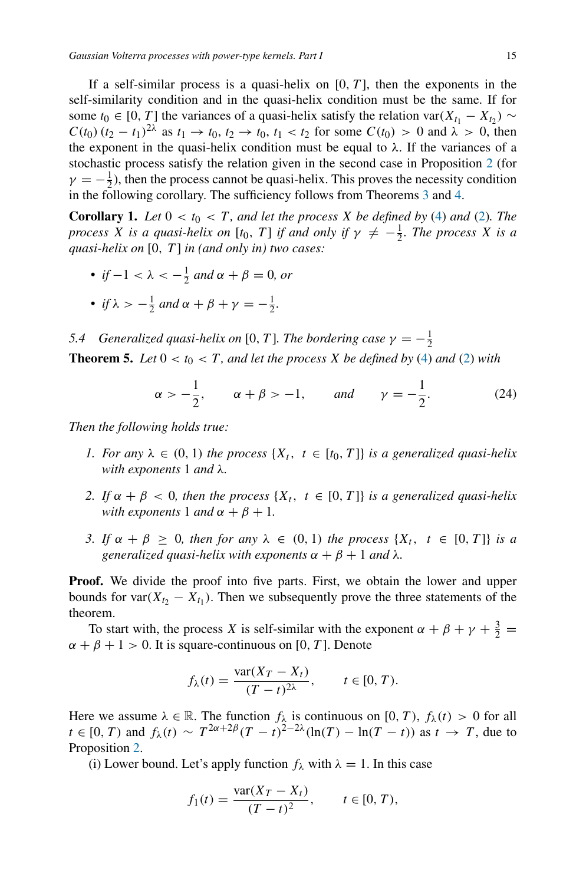If a self-similar process is a quasi-helix on  $[0, T]$ , then the exponents in the self-similarity condition and in the quasi-helix condition must be the same. If for some  $t_0 \in [0, T]$  the variances of a quasi-helix satisfy the relation var $(X_{t_1} - X_{t_2}) \sim$ *C(t*<sub>0</sub>) ( $t_2 - t_1$ )<sup>2 $\lambda$ </sup> as  $t_1 \to t_0$ ,  $t_2 \to t_0$ ,  $t_1 < t_2$  for some  $C(t_0) > 0$  and  $\lambda > 0$ , then the exponent in the quasi-helix condition must be equal to  $\lambda$ . If the variances of a stochastic process satisfy the relation given in the second case in Proposition [2](#page-5-4) (for  $\gamma = -\frac{1}{2}$ ), then the process cannot be quasi-helix. This proves the necessity condition in the following corollary. The sufficiency follows from Theorems [3](#page-12-2) and [4.](#page-13-0)

<span id="page-14-1"></span>**Corollary 1.** Let  $0 < t_0 < T$ , and let the process *X* be defined by [\(4\)](#page-2-1) and [\(2\)](#page-1-1). The *process X is a quasi-helix on* [*t*<sub>0</sub>*, T*] *if and only if*  $\gamma \neq -\frac{1}{2}$ *. The process X is a quasi-helix on* [0*, T* ] *in (and only in) two cases:*

- *• if* −1 <  $\lambda$  < − $\frac{1}{2}$  *and*  $\alpha + \beta = 0$ *, or* • *if*  $\lambda > -\frac{1}{2}$  *and*  $\alpha + \beta + \gamma = -\frac{1}{2}$ *.*
- *5.4 Generalized quasi-helix on* [0, *T*]. The bordering case  $\gamma = -\frac{1}{2}$

<span id="page-14-0"></span>**Theorem 5.** *Let*  $0 < t_0 < T$ *, and let the process X be defined by* [\(4\)](#page-2-1) *and* [\(2\)](#page-1-1) *with* 

<span id="page-14-2"></span>
$$
\alpha > -\frac{1}{2}
$$
,  $\alpha + \beta > -1$ , and  $\gamma = -\frac{1}{2}$ . (24)

*Then the following holds true:*

- *1. For any*  $\lambda \in (0, 1)$  *the process*  $\{X_t, t \in [t_0, T]\}$  *is a generalized quasi-helix with exponents* 1 *and λ.*
- *2. If*  $\alpha + \beta < 0$ , then the process  $\{X_t, t \in [0, T]\}$  is a generalized quasi-helix *with exponents* 1 *and*  $\alpha + \beta + 1$ *.*
- *3.* If  $\alpha + \beta \geq 0$ , then for any  $\lambda \in (0, 1)$  the process  $\{X_t, t \in [0, T]\}$  is a *generalized quasi-helix with exponents*  $\alpha + \beta + 1$  *and*  $\lambda$ *.*

**Proof.** We divide the proof into five parts. First, we obtain the lower and upper bounds for var $(X_{t_2} - X_{t_1})$ . Then we subsequently prove the three statements of the theorem.

To start with, the process *X* is self-similar with the exponent  $\alpha + \beta + \gamma + \frac{3}{2}$  $\alpha + \beta + 1 > 0$ . It is square-continuous on [0, *T*]. Denote

$$
f_{\lambda}(t) = \frac{\text{var}(X_T - X_t)}{(T - t)^{2\lambda}}, \qquad t \in [0, T).
$$

Here we assume  $\lambda \in \mathbb{R}$ . The function  $f_{\lambda}$  is continuous on [0, T),  $f_{\lambda}(t) > 0$  for all *t* ∈ [0, *T*) and  $f_{\lambda}(t) \sim T^{2\alpha + 2\beta} (T - t)^{2 - 2\lambda} (\ln(T) - \ln(T - t))$  as  $t \to T$ , due to Proposition [2.](#page-5-4)

(i) Lower bound. Let's apply function  $f_{\lambda}$  with  $\lambda = 1$ . In this case

$$
f_1(t) = \frac{\text{var}(X_T - X_t)}{(T - t)^2}, \qquad t \in [0, T),
$$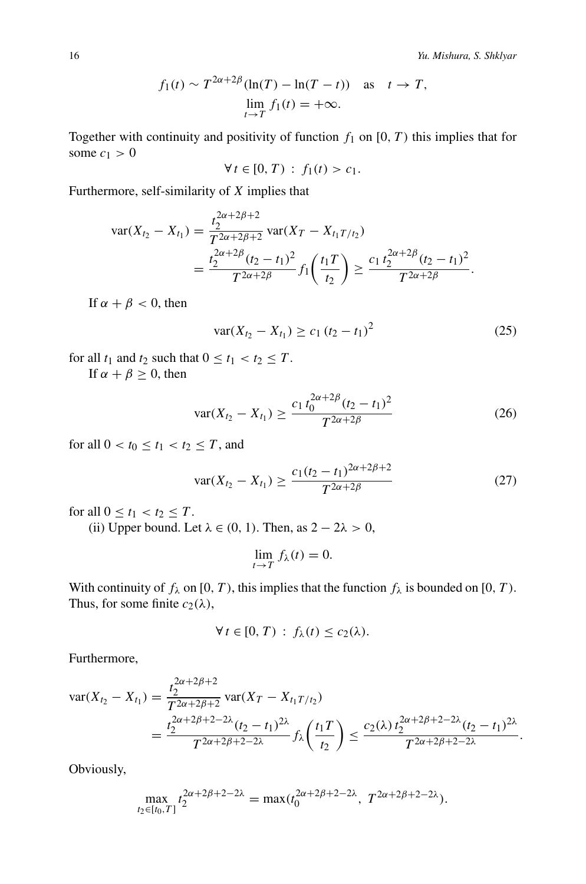$$
f_1(t) \sim T^{2\alpha+2\beta}(\ln(T) - \ln(T - t))
$$
 as  $t \to T$ ,  
\n
$$
\lim_{t \to T} f_1(t) = +\infty.
$$

Together with continuity and positivity of function  $f_1$  on  $[0, T)$  this implies that for some  $c_1 > 0$ 

$$
\forall t \in [0, T) : f_1(t) > c_1.
$$

Furthermore, self-similarity of *X* implies that

$$
\begin{split} \text{var}(X_{t_2} - X_{t_1}) &= \frac{t_2^{2\alpha + 2\beta + 2}}{T^{2\alpha + 2\beta + 2}} \, \text{var}(X_T - X_{t_1 T/t_2}) \\ &= \frac{t_2^{2\alpha + 2\beta} (t_2 - t_1)^2}{T^{2\alpha + 2\beta}} f_1 \left(\frac{t_1 T}{t_2}\right) \ge \frac{c_1 \, t_2^{2\alpha + 2\beta} (t_2 - t_1)^2}{T^{2\alpha + 2\beta}}. \end{split}
$$

If  $\alpha + \beta < 0$ , then

<span id="page-15-0"></span>
$$
var(X_{t_2} - X_{t_1}) \ge c_1 (t_2 - t_1)^2
$$
\n(25)

for all  $t_1$  and  $t_2$  such that  $0 \le t_1 < t_2 \le T$ .

If  $\alpha + \beta \geq 0$ , then

<span id="page-15-1"></span>
$$
\text{var}(X_{t_2} - X_{t_1}) \ge \frac{c_1 t_0^{2\alpha + 2\beta} (t_2 - t_1)^2}{T^{2\alpha + 2\beta}}
$$
 (26)

for all  $0 < t_0 \le t_1 < t_2 \le T$ , and

<span id="page-15-2"></span>
$$
var(X_{t_2} - X_{t_1}) \ge \frac{c_1(t_2 - t_1)^{2\alpha + 2\beta + 2}}{T^{2\alpha + 2\beta}}
$$
 (27)

for all  $0 \le t_1 < t_2 \le T$ .

(ii) Upper bound. Let  $\lambda \in (0, 1)$ . Then, as  $2 - 2\lambda > 0$ ,

$$
\lim_{t \to T} f_{\lambda}(t) = 0.
$$

With continuity of  $f_\lambda$  on [0, T), this implies that the function  $f_\lambda$  is bounded on [0, T). Thus, for some finite  $c_2(\lambda)$ ,

$$
\forall t \in [0, T) : f_{\lambda}(t) \leq c_2(\lambda).
$$

Furthermore,

$$
\begin{split} \text{var}(X_{t_2} - X_{t_1}) &= \frac{t_2^{2\alpha + 2\beta + 2}}{T^{2\alpha + 2\beta + 2}} \text{var}(X_T - X_{t_1 T/t_2}) \\ &= \frac{t_2^{2\alpha + 2\beta + 2 - 2\lambda} (t_2 - t_1)^{2\lambda}}{T^{2\alpha + 2\beta + 2 - 2\lambda}} f_\lambda \left(\frac{t_1 T}{t_2}\right) \le \frac{c_2(\lambda) \, t_2^{2\alpha + 2\beta + 2 - 2\lambda} (t_2 - t_1)^{2\lambda}}{T^{2\alpha + 2\beta + 2 - 2\lambda}}. \end{split}
$$

Obviously,

$$
\max_{t_2 \in [t_0, T]} t_2^{2\alpha + 2\beta + 2 - 2\lambda} = \max(t_0^{2\alpha + 2\beta + 2 - 2\lambda}, T^{2\alpha + 2\beta + 2 - 2\lambda}).
$$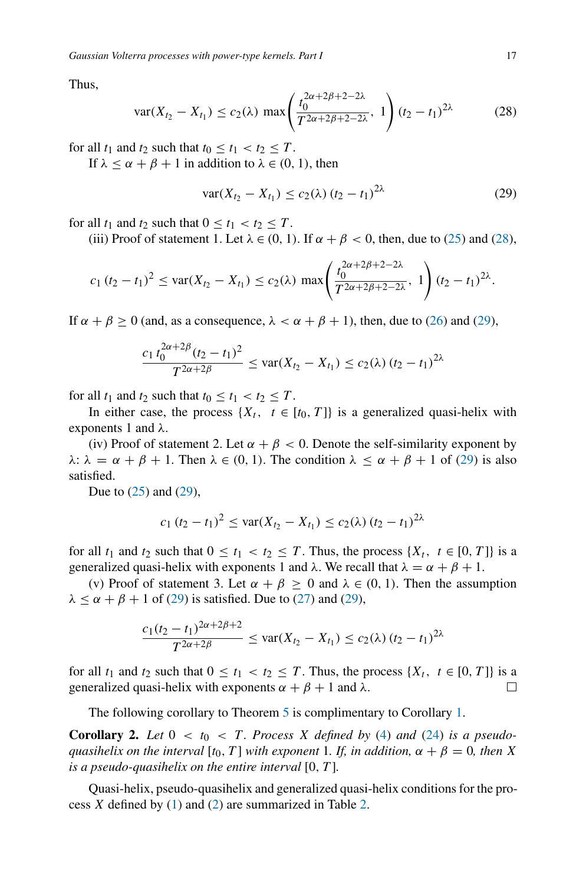Thus,

<span id="page-16-0"></span>
$$
\text{var}(X_{t_2} - X_{t_1}) \le c_2(\lambda) \, \max\!\left(\frac{t_0^{2\alpha + 2\beta + 2 - 2\lambda}}{T^{2\alpha + 2\beta + 2 - 2\lambda}}, \, 1\right) (t_2 - t_1)^{2\lambda} \tag{28}
$$

for all  $t_1$  and  $t_2$  such that  $t_0 \le t_1 < t_2 \le T$ .

If  $\lambda \leq \alpha + \beta + 1$  in addition to  $\lambda \in (0, 1)$ , then

<span id="page-16-1"></span>
$$
var(X_{t_2} - X_{t_1}) \le c_2(\lambda) (t_2 - t_1)^{2\lambda}
$$
 (29)

for all  $t_1$  and  $t_2$  such that  $0 \le t_1 < t_2 \le T$ .

(iii) Proof of statement 1. Let  $\lambda \in (0, 1)$ . If  $\alpha + \beta < 0$ , then, due to [\(25\)](#page-15-0) and [\(28\)](#page-16-0),

$$
c_1(t_2-t_1)^2 \leq \text{var}(X_{t_2}-X_{t_1}) \leq c_2(\lambda) \max\left(\frac{t_0^{2\alpha+2\beta+2-2\lambda}}{T^{2\alpha+2\beta+2-2\lambda}}, 1\right) (t_2-t_1)^{2\lambda}.
$$

If  $\alpha + \beta \ge 0$  (and, as a consequence,  $\lambda < \alpha + \beta + 1$ ), then, due to [\(26\)](#page-15-1) and [\(29\)](#page-16-1),

$$
\frac{c_1 t_0^{2\alpha+2\beta} (t_2 - t_1)^2}{T^{2\alpha+2\beta}} \le \text{var}(X_{t_2} - X_{t_1}) \le c_2(\lambda) (t_2 - t_1)^{2\lambda}
$$

for all  $t_1$  and  $t_2$  such that  $t_0 \leq t_1 < t_2 \leq T$ .

In either case, the process  $\{X_t, t \in [t_0, T]\}$  is a generalized quasi-helix with exponents 1 and *λ*.

(iv) Proof of statement 2. Let  $\alpha + \beta < 0$ . Denote the self-similarity exponent by *λ*:  $\lambda = \alpha + \beta + 1$ . Then  $\lambda \in (0, 1)$ . The condition  $\lambda \leq \alpha + \beta + 1$  of [\(29\)](#page-16-1) is also satisfied.

Due to [\(25\)](#page-15-0) and [\(29\)](#page-16-1),

$$
c_1 (t_2 - t_1)^2 \leq \text{var}(X_{t_2} - X_{t_1}) \leq c_2(\lambda) (t_2 - t_1)^{2\lambda}
$$

for all  $t_1$  and  $t_2$  such that  $0 \le t_1 < t_2 \le T$ . Thus, the process  $\{X_t, t \in [0, T]\}$  is a generalized quasi-helix with exponents 1 and  $\lambda$ . We recall that  $\lambda = \alpha + \beta + 1$ .

(v) Proof of statement 3. Let  $\alpha + \beta \geq 0$  and  $\lambda \in (0, 1)$ . Then the assumption  $\lambda \le \alpha + \beta + 1$  of [\(29\)](#page-16-1) is satisfied. Due to [\(27\)](#page-15-2) and (29),

$$
\frac{c_1(t_2-t_1)^{2\alpha+2\beta+2}}{T^{2\alpha+2\beta}} \leq \text{var}(X_{t_2}-X_{t_1}) \leq c_2(\lambda) (t_2-t_1)^{2\lambda}
$$

for all  $t_1$  and  $t_2$  such that  $0 \le t_1 < t_2 \le T$ . Thus, the process  $\{X_t, t \in [0, T]\}$  is a generalized quasi-helix with exponents  $\alpha + \beta + 1$  and  $\lambda$ .  $\Box$ 

The following corollary to Theorem [5](#page-14-0) is complimentary to Corollary [1.](#page-14-1)

**Corollary 2.** Let  $0 < t_0 < T$ . Process X defined by [\(4\)](#page-2-1) and [\(24\)](#page-14-2) is a pseudo*quasihelix on the interval* [ $t_0$ *, T*] *with exponent* 1*. If, in addition,*  $\alpha + \beta = 0$ *, then X is a pseudo-quasihelix on the entire interval* [0*, T* ]*.*

Quasi-helix, pseudo-quasihelix and generalized quasi-helix conditions for the process *X* defined by [\(1\)](#page-1-0) and [\(2\)](#page-1-1) are summarized in Table [2.](#page-17-1)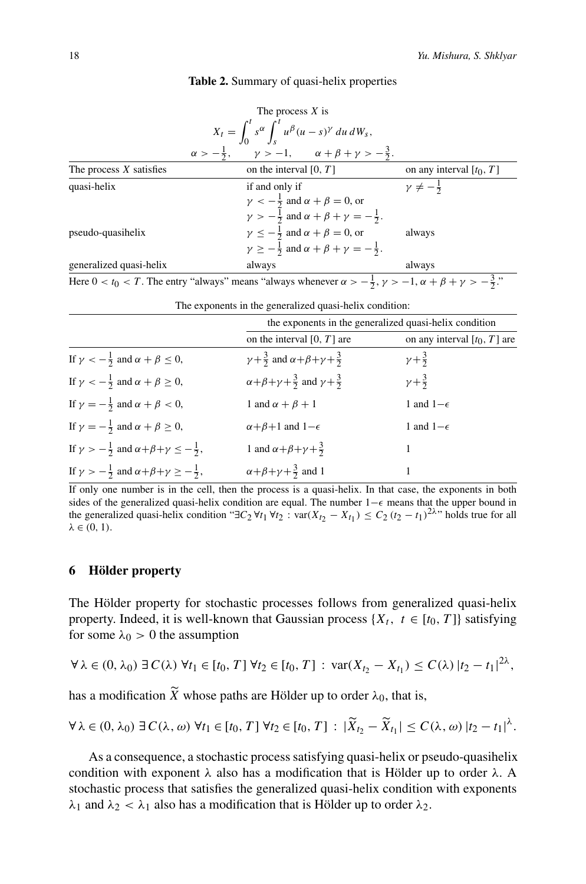|  |  |  | Table 2. Summary of quasi-helix properties |  |
|--|--|--|--------------------------------------------|--|
|--|--|--|--------------------------------------------|--|

<span id="page-17-1"></span>

|                           | The process $X$ is                                                                                                                  |                            |
|---------------------------|-------------------------------------------------------------------------------------------------------------------------------------|----------------------------|
|                           | $X_t = \int_0^t s^{\alpha} \int_s^t u^{\beta} (u-s)^{\gamma} du dW_s,$                                                              |                            |
|                           | $\alpha > -\frac{1}{2}$ , $\gamma > -1$ , $\alpha + \beta + \gamma > -\frac{3}{2}$ .                                                |                            |
| The process $X$ satisfies | on the interval $[0, T]$                                                                                                            | on any interval $[t_0, T]$ |
| quasi-helix               | if and only if                                                                                                                      | $\gamma \neq -\frac{1}{2}$ |
|                           | $\gamma < -\frac{1}{2}$ and $\alpha + \beta = 0$ , or                                                                               |                            |
|                           | $\gamma > -\frac{1}{2}$ and $\alpha + \beta + \gamma = -\frac{1}{2}$ .                                                              |                            |
| pseudo-quasihelix         | $\gamma \leq -\frac{1}{2}$ and $\alpha + \beta = 0$ , or                                                                            | always                     |
|                           | $\gamma \geq -\frac{1}{2}$ and $\alpha + \beta + \gamma = -\frac{1}{2}$ .                                                           |                            |
| generalized quasi-helix   | always                                                                                                                              | always                     |
|                           | Here $0 < t_0 < T$ The entry "always" means "always whenever $\alpha > -\frac{1}{2}$ $y > -1$ $\alpha + \beta + y > -\frac{3}{2}$ " |                            |

Here  $0 < t_0 < T$ . The entry "always" means "always whenever  $\alpha >$  $\frac{1}{2}$ ,  $\gamma > -1$ ,  $\alpha + \beta + \gamma > -\frac{3}{2}$ ."

| The exponents in the generalized quasi-helix condition: |  |  |  |  |
|---------------------------------------------------------|--|--|--|--|
|---------------------------------------------------------|--|--|--|--|

|                                                                              | the exponents in the generalized quasi-helix condition             |                                |  |
|------------------------------------------------------------------------------|--------------------------------------------------------------------|--------------------------------|--|
|                                                                              | on the interval $[0, T]$ are                                       | on any interval $[t_0, T]$ are |  |
| If $\gamma < -\frac{1}{2}$ and $\alpha + \beta \leq 0$ ,                     | $\gamma + \frac{3}{2}$ and $\alpha + \beta + \gamma + \frac{3}{2}$ | $y + \frac{3}{2}$              |  |
| If $\gamma < -\frac{1}{2}$ and $\alpha + \beta \ge 0$ ,                      | $\alpha+\beta+\gamma+\frac{3}{2}$ and $\gamma+\frac{3}{2}$         | $y + \frac{3}{2}$              |  |
| If $\gamma = -\frac{1}{2}$ and $\alpha + \beta < 0$ ,                        | 1 and $\alpha + \beta + 1$                                         | 1 and $1-\epsilon$             |  |
| If $\gamma = -\frac{1}{2}$ and $\alpha + \beta \ge 0$ ,                      | $\alpha + \beta + 1$ and $1 - \epsilon$                            | 1 and $1-\epsilon$             |  |
| If $\gamma > -\frac{1}{2}$ and $\alpha + \beta + \gamma \leq -\frac{1}{2}$ , | 1 and $\alpha + \beta + \gamma + \frac{3}{2}$                      |                                |  |
| If $\gamma > -\frac{1}{2}$ and $\alpha + \beta + \gamma \ge -\frac{1}{2}$ ,  | $\alpha+\beta+\gamma+\frac{3}{2}$ and 1                            |                                |  |

If only one number is in the cell, then the process is a quasi-helix. In that case, the exponents in both sides of the generalized quasi-helix condition are equal. The number 1– $\epsilon$  means that the upper bound in the generalized quasi-helix condition " $\exists C_2 \forall t_1 \forall t_2 : \text{var}(X_{t_2} - X_{t_1}) \leq C_2 (t_2 - t_1)^{2\lambda}$ " holds true for all  $λ ∈ (0, 1)$ .

## <span id="page-17-0"></span>**6 Hölder property**

The Hölder property for stochastic processes follows from generalized quasi-helix property. Indeed, it is well-known that Gaussian process  $\{X_t, t \in [t_0, T]\}$  satisfying for some  $\lambda_0 > 0$  the assumption

$$
\forall \lambda \in (0, \lambda_0) \ \exists \ C(\lambda) \ \forall t_1 \in [t_0, T] \ \forall t_2 \in [t_0, T] : \ \text{var}(X_{t_2} - X_{t_1}) \leq C(\lambda) \ |t_2 - t_1|^{2\lambda},
$$

has a modification  $\widetilde{X}$  whose paths are Hölder up to order  $\lambda_0$ , that is,

$$
\forall \lambda \in (0, \lambda_0) \ \exists \ C(\lambda, \omega) \ \forall t_1 \in [t_0, T] \ \forall t_2 \in [t_0, T] : |\widetilde{X}_{t_2} - \widetilde{X}_{t_1}| \le C(\lambda, \omega) \ |t_2 - t_1|^{\lambda}.
$$

As a consequence, a stochastic process satisfying quasi-helix or pseudo-quasihelix condition with exponent  $\lambda$  also has a modification that is Hölder up to order  $\lambda$ . A stochastic process that satisfies the generalized quasi-helix condition with exponents *λ*<sup>1</sup> and *λ*<sup>2</sup> *< λ*<sup>1</sup> also has a modification that is Hölder up to order *λ*2.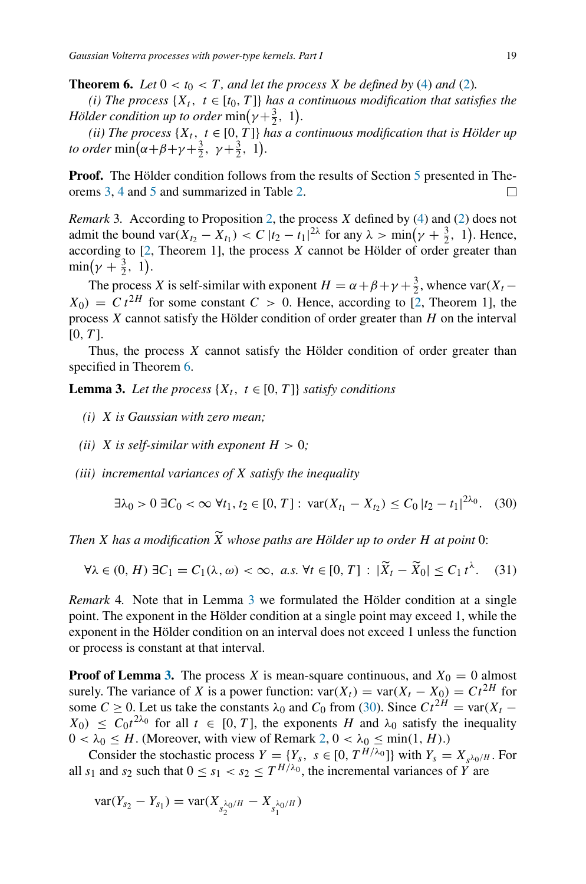<span id="page-18-0"></span>**Theorem 6.** *Let*  $0 < t_0 < T$ *, and let the process X be defined by* [\(4\)](#page-2-1) *and* [\(2\)](#page-1-1)*.* 

*(i) The process*  $\{X_t, t \in [t_0, T]\}$  *has a continuous modification that satisfies the Hölder condition up to order*  $\min(\gamma + \frac{3}{2}, 1)$ .

*(ii) The process*  $\{X_t, t \in [0, T]\}$  *has a continuous modification that is Hölder up to order*  $\min(\alpha + \beta + \gamma + \frac{3}{2}, \gamma + \frac{3}{2}, 1).$ 

**Proof.** The Hölder condition follows from the results of Section [5](#page-11-0) presented in Theorems [3,](#page-12-2) [4](#page-13-0) and [5](#page-14-0) and summarized in Table [2.](#page-17-1)  $\Box$ 

*Remark* 3*.* According to Proposition [2,](#page-5-4) the process *X* defined by [\(4\)](#page-2-1) and [\(2\)](#page-1-1) does not admit the bound var $(X_{t_2} - X_{t_1}) < C |t_2 - t_1|^{2\lambda}$  for any  $\lambda > \min(\gamma + \frac{3}{2}, 1)$ . Hence, according to  $[2,$  Theorem 1], the process  $X$  cannot be Hölder of order greater than  $\min(\gamma + \frac{3}{2}, 1).$ 

The process *X* is self-similar with exponent  $H = \alpha + \beta + \gamma + \frac{3}{2}$ , whence var $(X_t X_0$ ) =  $C t^{2H}$  for some constant  $C > 0$ . Hence, according to [\[2](#page-25-2), Theorem 1], the process *X* cannot satisfy the Hölder condition of order greater than *H* on the interval [0*, T* ].

Thus, the process *X* cannot satisfy the Hölder condition of order greater than specified in Theorem [6.](#page-18-0)

<span id="page-18-1"></span>**Lemma 3.** Let the process  $\{X_t, t \in [0, T]\}$  satisfy conditions

- *(i) X is Gaussian with zero mean;*
- *(ii) X* is self-similar with exponent  $H > 0$ ;
- *(iii) incremental variances of X satisfy the inequality*

<span id="page-18-2"></span>
$$
\exists \lambda_0 > 0 \ \exists C_0 < \infty \ \forall t_1, t_2 \in [0, T]: \ \text{var}(X_{t_1} - X_{t_2}) \le C_0 \ |t_2 - t_1|^{2\lambda_0}.\tag{30}
$$

*Then X* has a modification  $\widetilde{X}$  whose paths are Hölder up to order H at point 0:

<span id="page-18-3"></span>
$$
\forall \lambda \in (0, H) \; \exists C_1 = C_1(\lambda, \omega) < \infty, \; a.s. \; \forall t \in [0, T] \; : \; |\widetilde{X}_t - \widetilde{X}_0| \le C_1 \, t^{\lambda}. \tag{31}
$$

*Remark* 4*.* Note that in Lemma [3](#page-18-1) we formulated the Hölder condition at a single point. The exponent in the Hölder condition at a single point may exceed 1, while the exponent in the Hölder condition on an interval does not exceed 1 unless the function or process is constant at that interval.

**Proof of Lemma [3.](#page-18-1)** The process *X* is mean-square continuous, and  $X_0 = 0$  almost surely. The variance of *X* is a power function:  $var(X_t) = var(X_t - X_0) = Ct^{2H}$  for some *C* ≥ 0. Let us take the constants  $\lambda_0$  and *C*<sub>0</sub> from [\(30\)](#page-18-2). Since  $Ct^{2H} = \text{var}(X_t X_0$ )  $\leq C_0 t^{2\lambda_0}$  for all  $t \in [0, T]$ , the exponents *H* and  $\lambda_0$  satisfy the inequality  $0 < \lambda_0 \leq H$ . (Moreover, with view of Remark [2,](#page-11-4)  $0 < \lambda_0 \leq \min(1, H)$ .)

Consider the stochastic process  $Y = \{Y_s, s \in [0, T^{H/\lambda_0}]\}$  with  $Y_s = X_{s^{\lambda_0/H}}$ . For all  $s_1$  and  $s_2$  such that  $0 \le s_1 < s_2 \le T^{H/\lambda_0}$ , the incremental variances of  $\overrightarrow{Y}$  are

$$
var(Y_{s_2} - Y_{s_1}) = var(X_{s_2^{\lambda_0/H}} - X_{s_1^{\lambda_0/H}})
$$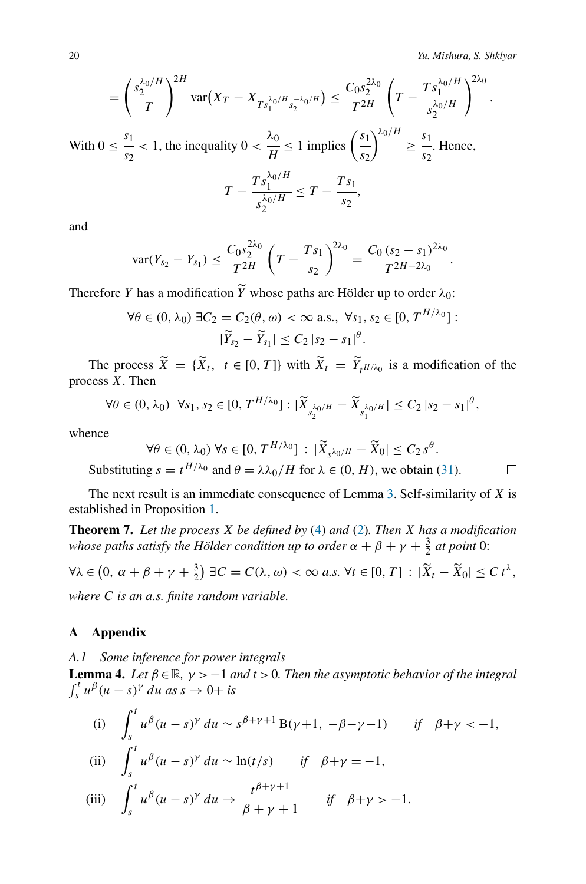20 *Yu. Mishura, S. Shklyar*

$$
= \left(\frac{s_2^{\lambda_0/H}}{T}\right)^{2H} \text{var}(X_T - X_{Ts_1^{\lambda_0/H} s_2^{-\lambda_0/H}}) \leq \frac{C_0 s_2^{2\lambda_0}}{T^{2H}} \left(T - \frac{Ts_1^{\lambda_0/H}}{s_2^{\lambda_0/H}}\right)^{2\lambda_0}.
$$

With  $0 \leq \frac{s_1}{s_2}$  $\frac{s_1}{s_2}$  < 1, the inequality  $0 < \frac{\lambda_0}{H} \le 1$  implies  $\left(\frac{s_1}{s_2}\right)$  $\int^{\lambda_0/H} \geq \frac{s_1}{s}$  $\frac{1}{s_2}$ . Hence,

$$
T-\frac{T s_1^{\lambda_0/H}}{s_2^{\lambda_0/H}}\leq T-\frac{T s_1}{s_2},
$$

and

$$
\text{var}(Y_{s_2}-Y_{s_1})\leq \frac{C_0s_2^{2\lambda_0}}{T^{2H}}\left(T-\frac{T s_1}{s_2}\right)^{2\lambda_0}=\frac{C_0 (s_2-s_1)^{2\lambda_0}}{T^{2H-2\lambda_0}}.
$$

Therefore *Y* has a modification *Y* whose paths are Hölder up to order *λ*0:

$$
\forall \theta \in (0, \lambda_0) \exists C_2 = C_2(\theta, \omega) < \infty \text{ a.s., } \forall s_1, s_2 \in [0, T^{H/\lambda_0}]:
$$
\n
$$
|\widetilde{Y}_{s_2} - \widetilde{Y}_{s_1}| \le C_2 |s_2 - s_1|^\theta.
$$

The process  $\tilde{X} = \{X_t, t \in [0, T]\}$  with  $\tilde{X}_t = \tilde{Y}_t \tilde{H}/\lambda_0$  is a modification of the process *X*. Then

$$
\forall \theta \in (0, \lambda_0) \ \forall s_1, s_2 \in [0, T^{H/\lambda_0}] : |\widetilde{X}_{s_2^{\lambda_0/H}} - \widetilde{X}_{s_1^{\lambda_0/H}}| \le C_2 |s_2 - s_1|^{\theta},
$$

whence

 $∀θ ∈ (0, λ₀) ∇s ∈ [0, T<sup>H/λ₀</sup>] : |X̄<sub>s<sup>λ₀</sup>/H − X̂<sub>0</sub>| ≤ C<sub>2</sub> s<sup>θ</sup></sub>$ . Substituting  $s = t^{H/\lambda_0}$  and  $\theta = \lambda \lambda_0 / H$  for  $\lambda \in (0, H)$ , we obtain [\(31\)](#page-18-3).

 $\Box$ 

The next result is an immediate consequence of Lemma [3.](#page-18-1) Self-similarity of *X* is established in Proposition [1.](#page-4-1)

**Theorem 7.** *Let the process X be defined by* [\(4\)](#page-2-1) *and* [\(2\)](#page-1-1)*. Then X has a modification whose paths satisfy the Hölder condition up to order*  $\alpha + \beta + \gamma + \frac{3}{2}$  *at point* 0:

$$
\forall \lambda \in \left(0, \ \alpha + \beta + \gamma + \frac{3}{2}\right) \exists C = C(\lambda, \omega) < \infty \ a.s. \ \forall t \in [0, T] : |\widetilde{X}_t - \widetilde{X}_0| \le C \ t^{\lambda},
$$
\nwhere C is an a.s. finite random variable.

## <span id="page-19-0"></span>**A Appendix**

## *A.1 Some inference for power integrals*

<span id="page-19-1"></span>**Lemma 4.** *Let*  $\beta \in \mathbb{R}$ *,*  $\gamma > -1$  *and*  $t > 0$ *. Then the asymptotic behavior of the integral*  $\int_s^t u^{\beta} (u - s)^{\gamma} du$  *as*  $s \to 0 + is$ 

(i) 
$$
\int_{s}^{t} u^{\beta} (u-s)^{\gamma} du \sim s^{\beta+\gamma+1} B(\gamma+1, -\beta-\gamma-1) \quad \text{if} \quad \beta+\gamma < -1,
$$

(ii) 
$$
\int_{s}^{t} u^{\beta} (u-s)^{\gamma} du \sim \ln(t/s) \quad \text{if} \quad \beta + \gamma = -1,
$$

(iii) 
$$
\int_{s}^{t} u^{\beta}(u-s)^{\gamma} du \rightarrow \frac{t^{\beta+\gamma+1}}{\beta+\gamma+1} \quad \text{if} \quad \beta+\gamma>-1.
$$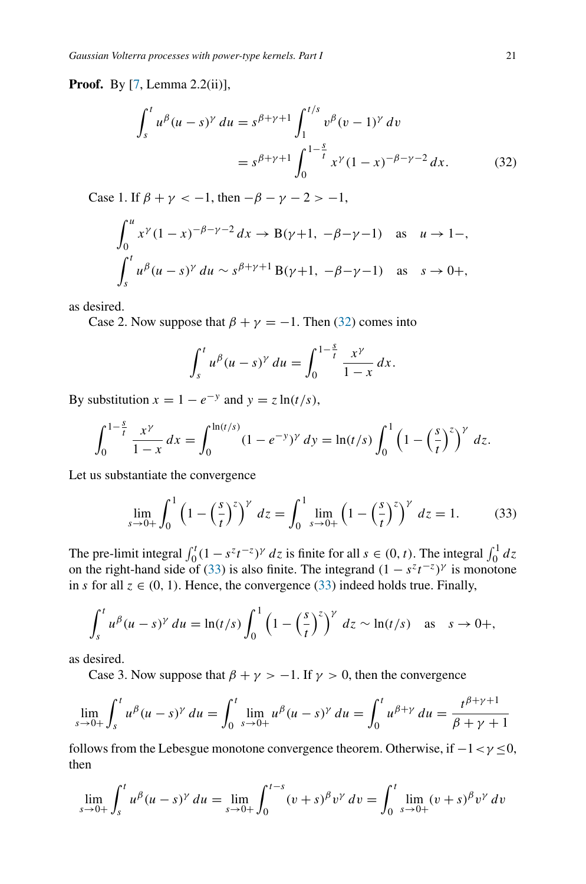**Proof.** By [\[7](#page-25-5), Lemma 2.2(ii)],

$$
\int_{s}^{t} u^{\beta} (u - s)^{\gamma} du = s^{\beta + \gamma + 1} \int_{1}^{t/s} v^{\beta} (v - 1)^{\gamma} dv
$$
  
=  $s^{\beta + \gamma + 1} \int_{0}^{1 - \frac{s}{t}} x^{\gamma} (1 - x)^{-\beta - \gamma - 2} dx.$  (32)

Case 1. If  $\beta + \gamma < -1$ , then  $-\beta - \gamma - 2 > -1$ ,

$$
\int_0^u x^{\gamma} (1 - x)^{-\beta - \gamma - 2} dx \to B(\gamma + 1, -\beta - \gamma - 1) \text{ as } u \to 1 -,
$$
  

$$
\int_s^t u^{\beta} (u - s)^{\gamma} du \sim s^{\beta + \gamma + 1} B(\gamma + 1, -\beta - \gamma - 1) \text{ as } s \to 0+,
$$

as desired.

Case 2. Now suppose that  $\beta + \gamma = -1$ . Then [\(32\)](#page-20-0) comes into

<span id="page-20-0"></span>
$$
\int_{s}^{t} u^{\beta} (u-s)^{\gamma} du = \int_{0}^{1-\frac{s}{t}} \frac{x^{\gamma}}{1-x} dx.
$$

By substitution  $x = 1 - e^{-y}$  and  $y = z \ln(t/s)$ ,

$$
\int_0^{1-\frac{s}{t}} \frac{x^{\gamma}}{1-x} dx = \int_0^{\ln(t/s)} (1-e^{-y})^{\gamma} dy = \ln(t/s) \int_0^1 \left(1-\left(\frac{s}{t}\right)^z\right)^{\gamma} dz.
$$

Let us substantiate the convergence

<span id="page-20-1"></span>
$$
\lim_{s \to 0+} \int_0^1 \left(1 - \left(\frac{s}{t}\right)^z\right)^\gamma \, dz = \int_0^1 \lim_{s \to 0+} \left(1 - \left(\frac{s}{t}\right)^z\right)^\gamma \, dz = 1. \tag{33}
$$

The pre-limit integral  $\int_0^t (1 - s^z t^{-z})^{\gamma} dz$  is finite for all  $s \in (0, t)$ . The integral  $\int_0^1 dz$ on the right-hand side of [\(33\)](#page-20-1) is also finite. The integrand  $(1 - s^z t^{-z})^{\gamma}$  is monotone in *s* for all  $z \in (0, 1)$ . Hence, the convergence [\(33\)](#page-20-1) indeed holds true. Finally,

$$
\int_s^t u^{\beta} (u-s)^{\gamma} du = \ln(t/s) \int_0^1 \left(1 - \left(\frac{s}{t}\right)^z\right)^{\gamma} dz \sim \ln(t/s) \quad \text{as} \quad s \to 0+,
$$

as desired.

Case 3. Now suppose that  $\beta + \gamma > -1$ . If  $\gamma > 0$ , then the convergence

$$
\lim_{s \to 0+} \int_s^t u^{\beta} (u-s)^{\gamma} du = \int_0^t \lim_{s \to 0+} u^{\beta} (u-s)^{\gamma} du = \int_0^t u^{\beta+\gamma} du = \frac{t^{\beta+\gamma+1}}{\beta+\gamma+1}
$$

follows from the Lebesgue monotone convergence theorem. Otherwise, if −1*<γ* ≤0, then

$$
\lim_{s \to 0+} \int_s^t u^{\beta} (u-s)^{\gamma} du = \lim_{s \to 0+} \int_0^{t-s} (v+s)^{\beta} v^{\gamma} dv = \int_0^t \lim_{s \to 0+} (v+s)^{\beta} v^{\gamma} dv
$$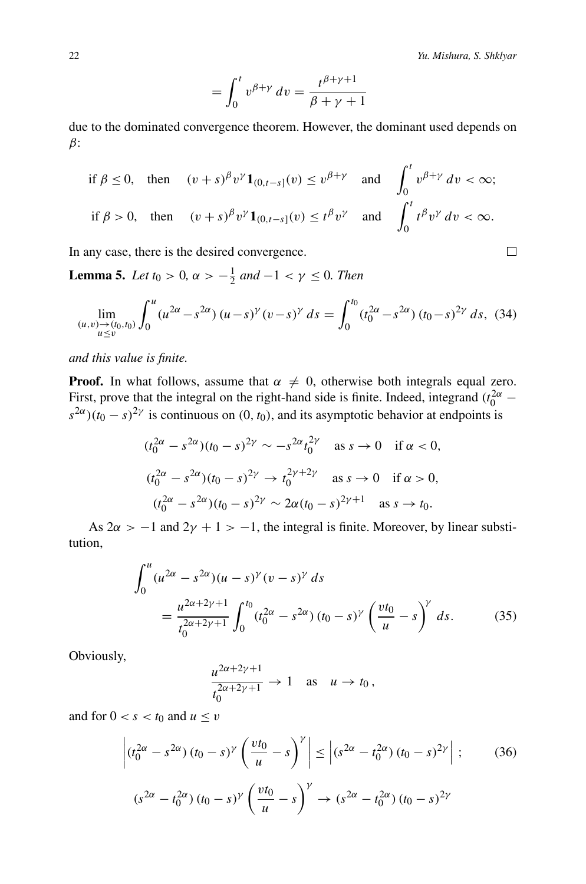*t*

$$
= \int_0^t v^{\beta+\gamma} dv = \frac{t^{\beta+\gamma+1}}{\beta+\gamma+1}
$$

due to the dominated convergence theorem. However, the dominant used depends on *β*:

$$
\text{if } \beta \le 0, \quad \text{then} \quad (v+s)^{\beta} v^{\gamma} \mathbf{1}_{(0,t-s]}(v) \le v^{\beta+\gamma} \quad \text{and} \quad \int_0^t v^{\beta+\gamma} \, dv < \infty;
$$
\n
$$
\text{if } \beta > 0, \quad \text{then} \quad (v+s)^{\beta} v^{\gamma} \mathbf{1}_{(0,t-s]}(v) \le t^{\beta} v^{\gamma} \quad \text{and} \quad \int_0^t t^{\beta} v^{\gamma} \, dv < \infty.
$$

In any case, there is the desired convergence.

<span id="page-21-0"></span>**Lemma 5.** *Let*  $t_0 > 0$ ,  $\alpha > -\frac{1}{2}$  *and*  $-1 < \gamma \le 0$ *. Then* 

<span id="page-21-3"></span>
$$
\lim_{\substack{(u,v)\to(t_0,t_0)\\u\le v}} \int_0^u (u^{2\alpha} - s^{2\alpha}) (u-s)^\gamma (v-s)^\gamma ds = \int_0^{t_0} (t_0^{2\alpha} - s^{2\alpha}) (t_0 - s)^{2\gamma} ds, \tag{34}
$$

*and this value is finite.*

**Proof.** In what follows, assume that  $\alpha \neq 0$ , otherwise both integrals equal zero. First, prove that the integral on the right-hand side is finite. Indeed, integrand  $(t_0^{2\alpha}$  –  $s^{2\alpha}$ )( $t_0$  –  $s$ )<sup>2</sup>*γ* is continuous on (0,  $t_0$ ), and its asymptotic behavior at endpoints is

$$
(t_0^{2\alpha} - s^{2\alpha})(t_0 - s)^{2\gamma} \sim -s^{2\alpha} t_0^{2\gamma} \text{ as } s \to 0 \text{ if } \alpha < 0,
$$
  

$$
(t_0^{2\alpha} - s^{2\alpha})(t_0 - s)^{2\gamma} \to t_0^{2\gamma + 2\gamma} \text{ as } s \to 0 \text{ if } \alpha > 0,
$$
  

$$
(t_0^{2\alpha} - s^{2\alpha})(t_0 - s)^{2\gamma} \sim 2\alpha (t_0 - s)^{2\gamma + 1} \text{ as } s \to t_0.
$$

As  $2\alpha$  > −1 and  $2\gamma$  + 1 > −1, the integral is finite. Moreover, by linear substitution,

$$
\int_0^u (u^{2\alpha} - s^{2\alpha})(u - s)^\gamma (v - s)^\gamma ds
$$
  
= 
$$
\frac{u^{2\alpha + 2\gamma + 1}}{t_0^{2\alpha + 2\gamma + 1}} \int_0^{t_0} (t_0^{2\alpha} - s^{2\alpha})(t_0 - s)^\gamma \left(\frac{vt_0}{u} - s\right)^\gamma ds.
$$
 (35)

Obviously,

<span id="page-21-2"></span><span id="page-21-1"></span>
$$
\frac{u^{2\alpha+2\gamma+1}}{t_0^{2\alpha+2\gamma+1}} \to 1 \quad \text{as} \quad u \to t_0,
$$

and for  $0 < s < t_0$  and  $u \le v$ 

$$
\left| (t_0^{2\alpha} - s^{2\alpha}) (t_0 - s)^\gamma \left( \frac{vt_0}{u} - s \right)^\gamma \right| \le \left| (s^{2\alpha} - t_0^{2\alpha}) (t_0 - s)^{2\gamma} \right| ; \tag{36}
$$
  

$$
(s^{2\alpha} - t_0^{2\alpha}) (t_0 - s)^\gamma \left( \frac{vt_0}{u} - s \right)^\gamma \to (s^{2\alpha} - t_0^{2\alpha}) (t_0 - s)^{2\gamma}
$$

$$
\Box
$$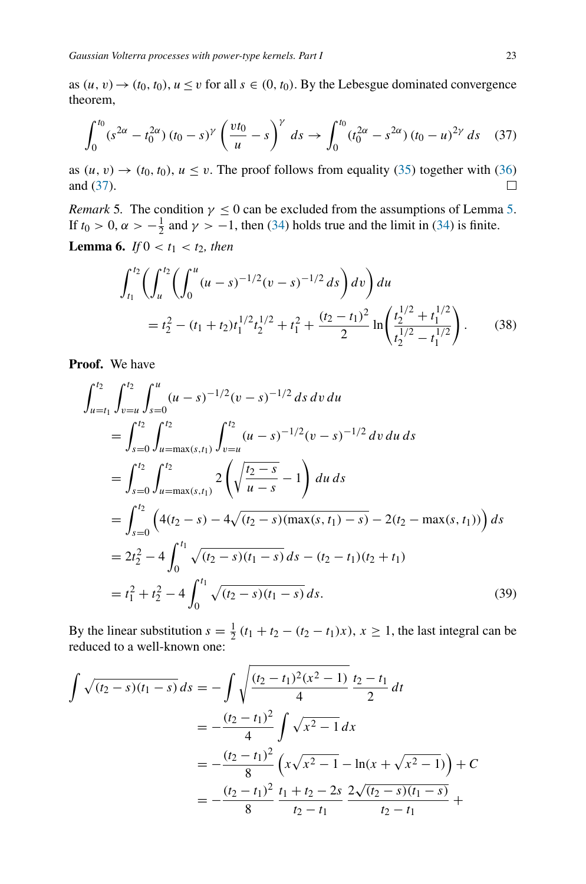as  $(u, v) \rightarrow (t_0, t_0)$ ,  $u \le v$  for all  $s \in (0, t_0)$ . By the Lebesgue dominated convergence theorem,

<span id="page-22-1"></span>
$$
\int_0^{t_0} (s^{2\alpha} - t_0^{2\alpha}) (t_0 - s)^\gamma \left(\frac{vt_0}{u} - s\right)^\gamma ds \to \int_0^{t_0} (t_0^{2\alpha} - s^{2\alpha}) (t_0 - u)^{2\gamma} ds \quad (37)
$$

as  $(u, v) \rightarrow (t_0, t_0)$ ,  $u \le v$ . The proof follows from equality [\(35\)](#page-21-1) together with [\(36\)](#page-21-2) and [\(37\)](#page-22-1).  $\Box$ 

<span id="page-22-0"></span>*Remark* [5.](#page-21-0) The condition  $\gamma \leq 0$  can be excluded from the assumptions of Lemma 5. If  $t_0 > 0$ ,  $\alpha > -\frac{1}{2}$  and  $\gamma > -1$ , then [\(34\)](#page-21-3) holds true and the limit in (34) is finite. **Lemma 6.** *If*  $0 < t_1 < t_2$ *, then* 

<span id="page-22-3"></span>
$$
\int_{t_1}^{t_2} \left( \int_u^{t_2} \left( \int_0^u (u-s)^{-1/2} (v-s)^{-1/2} ds \right) dv \right) du
$$
  
=  $t_2^2 - (t_1 + t_2) t_1^{1/2} t_2^{1/2} + t_1^2 + \frac{(t_2 - t_1)^2}{2} \ln \left( \frac{t_2^{1/2} + t_1^{1/2}}{t_2^{1/2} - t_1^{1/2}} \right).$  (38)

**Proof.** We have

$$
\int_{u=t_1}^{t_2} \int_{v=u}^{t_2} \int_{s=0}^{u} (u-s)^{-1/2} (v-s)^{-1/2} ds dv du
$$
  
= 
$$
\int_{s=0}^{t_2} \int_{u=\max(s,t_1)}^{t_2} \int_{v=u}^{t_2} (u-s)^{-1/2} (v-s)^{-1/2} dv du ds
$$
  
= 
$$
\int_{s=0}^{t_2} \int_{u=\max(s,t_1)}^{t_2} 2\left(\sqrt{\frac{t_2-s}{u-s}} - 1\right) du ds
$$
  
= 
$$
\int_{s=0}^{t_2} \left(4(t_2-s) - 4\sqrt{(t_2-s)(\max(s,t_1)-s)} - 2(t_2-\max(s,t_1))\right) ds
$$
  
= 
$$
2t_2^2 - 4 \int_0^{t_1} \sqrt{(t_2-s)(t_1-s)} ds - (t_2-t_1)(t_2+t_1)
$$
  
= 
$$
t_1^2 + t_2^2 - 4 \int_0^{t_1} \sqrt{(t_2-s)(t_1-s)} ds.
$$
 (39)

<span id="page-22-2"></span>By the linear substitution  $s = \frac{1}{2}(t_1 + t_2 - (t_2 - t_1)x)$ ,  $x \ge 1$ , the last integral can be reduced to a well-known one:

$$
\int \sqrt{(t_2 - s)(t_1 - s)} ds = -\int \sqrt{\frac{(t_2 - t_1)^2 (x^2 - 1)}{4}} \frac{t_2 - t_1}{2} dt
$$
  
=  $-\frac{(t_2 - t_1)^2}{4} \int \sqrt{x^2 - 1} dx$   
=  $-\frac{(t_2 - t_1)^2}{8} \left( x \sqrt{x^2 - 1} - \ln(x + \sqrt{x^2 - 1}) \right) + C$   
=  $-\frac{(t_2 - t_1)^2}{8} \frac{t_1 + t_2 - 2s}{t_2 - t_1} \frac{2\sqrt{(t_2 - s)(t_1 - s)}}{t_2 - t_1} + C$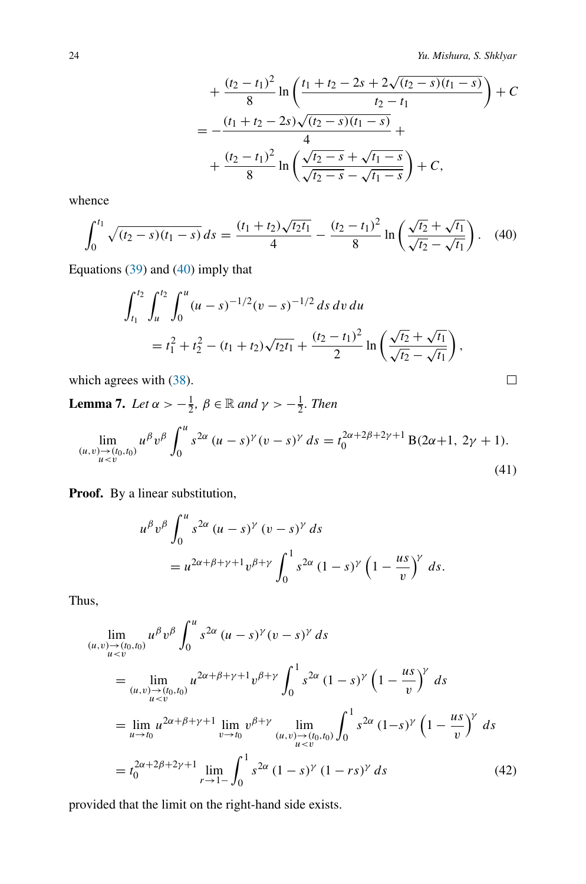$$
+\frac{(t_2-t_1)^2}{8}\ln\left(\frac{t_1+t_2-2s+2\sqrt{(t_2-s)(t_1-s)}}{t_2-t_1}\right)+C
$$
  
=
$$
-\frac{(t_1+t_2-2s)\sqrt{(t_2-s)(t_1-s)}}{4}+
$$

$$
+\frac{(t_2-t_1)^2}{8}\ln\left(\frac{\sqrt{t_2-s}+\sqrt{t_1-s}}{\sqrt{t_2-s}-\sqrt{t_1-s}}\right)+C,
$$

whence

<span id="page-23-1"></span>
$$
\int_0^{t_1} \sqrt{(t_2 - s)(t_1 - s)} ds = \frac{(t_1 + t_2)\sqrt{t_2 t_1}}{4} - \frac{(t_2 - t_1)^2}{8} \ln\left(\frac{\sqrt{t_2} + \sqrt{t_1}}{\sqrt{t_2} - \sqrt{t_1}}\right).
$$
 (40)

Equations [\(39\)](#page-22-2) and [\(40\)](#page-23-1) imply that

$$
\int_{t_1}^{t_2} \int_u^{t_2} \int_0^u (u-s)^{-1/2} (v-s)^{-1/2} ds dv du
$$
  
=  $t_1^2 + t_2^2 - (t_1 + t_2) \sqrt{t_2 t_1} + \frac{(t_2 - t_1)^2}{2} \ln \left( \frac{\sqrt{t_2} + \sqrt{t_1}}{\sqrt{t_2} - \sqrt{t_1}} \right),$ 

which agrees with  $(38)$ .

<span id="page-23-0"></span>**Lemma 7.** *Let*  $\alpha > -\frac{1}{2}$ ,  $\beta \in \mathbb{R}$  *and*  $\gamma > -\frac{1}{2}$ *. Then* 

<span id="page-23-3"></span>
$$
\lim_{\substack{(u,v)\to(t_0,t_0)\\u
$$

Proof. By a linear substitution,

$$
u^{\beta}v^{\beta}\int_0^u s^{2\alpha} (u-s)^{\gamma} (v-s)^{\gamma} ds
$$
  
= 
$$
u^{2\alpha+\beta+\gamma+1}v^{\beta+\gamma}\int_0^1 s^{2\alpha} (1-s)^{\gamma} (1-\frac{us}{v})^{\gamma} ds.
$$

Thus,

$$
\lim_{(u,v)\to(t_0,t_0)} u^{\beta}v^{\beta} \int_0^u s^{2\alpha} (u-s)^{\gamma} (v-s)^{\gamma} ds
$$
\n
$$
= \lim_{(u,v)\to(t_0,t_0)} u^{2\alpha+\beta+\gamma+1}v^{\beta+\gamma} \int_0^1 s^{2\alpha} (1-s)^{\gamma} (1-\frac{us}{v})^{\gamma} ds
$$
\n
$$
= \lim_{u\to t_0} u^{2\alpha+\beta+\gamma+1} \lim_{v\to t_0} v^{\beta+\gamma} \lim_{(u,v)\to(t_0,t_0)} \int_0^1 s^{2\alpha} (1-s)^{\gamma} (1-\frac{us}{v})^{\gamma} ds
$$
\n
$$
= t_0^{2\alpha+2\beta+2\gamma+1} \lim_{r\to 1^-} \int_0^1 s^{2\alpha} (1-s)^{\gamma} (1-rs)^{\gamma} ds
$$
\n(42)

provided that the limit on the right-hand side exists.

<span id="page-23-2"></span>
$$
\Box
$$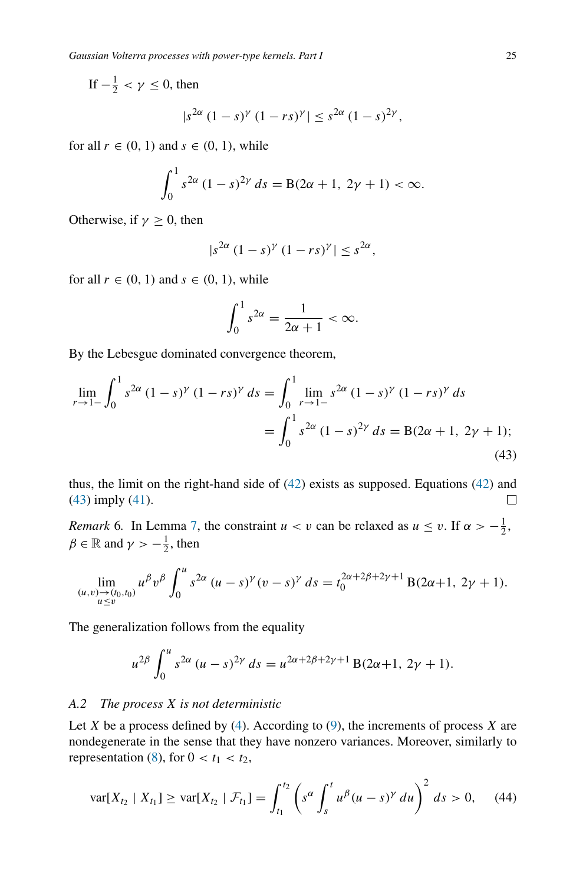If  $-\frac{1}{2} < \gamma \leq 0$ , then

$$
|s^{2\alpha}(1-s)^{\gamma}(1-rs)^{\gamma}| \leq s^{2\alpha}(1-s)^{2\gamma},
$$

for all  $r \in (0, 1)$  and  $s \in (0, 1)$ , while

$$
\int_0^1 s^{2\alpha} (1-s)^{2\gamma} ds = B(2\alpha + 1, 2\gamma + 1) < \infty.
$$

Otherwise, if  $\gamma \geq 0$ , then

$$
|s^{2\alpha}(1-s)^{\gamma}(1-rs)^{\gamma}| \leq s^{2\alpha},
$$

for all  $r \in (0, 1)$  and  $s \in (0, 1)$ , while

<span id="page-24-1"></span>
$$
\int_0^1 s^{2\alpha} = \frac{1}{2\alpha + 1} < \infty.
$$

By the Lebesgue dominated convergence theorem,

$$
\lim_{r \to 1^{-}} \int_{0}^{1} s^{2\alpha} (1 - s)^{\gamma} (1 - rs)^{\gamma} ds = \int_{0}^{1} \lim_{r \to 1^{-}} s^{2\alpha} (1 - s)^{\gamma} (1 - rs)^{\gamma} ds
$$

$$
= \int_{0}^{1} s^{2\alpha} (1 - s)^{2\gamma} ds = B(2\alpha + 1, 2\gamma + 1);
$$
(43)

thus, the limit on the right-hand side of [\(42\)](#page-23-2) exists as supposed. Equations [\(42\)](#page-23-2) and [\(43\)](#page-24-1) imply [\(41\)](#page-23-3). □

*Remark* 6*.* In Lemma [7,](#page-23-0) the constraint  $u < v$  can be relaxed as  $u \le v$ . If  $\alpha > -\frac{1}{2}$ ,  $\beta \in \mathbb{R}$  and  $\gamma > -\frac{1}{2}$ , then

$$
\lim_{\substack{(u,v)\to(t_0,t_0)\\u\leq v}} u^{\beta}v^{\beta}\int_0^u s^{2\alpha} (u-s)^{\gamma}(v-s)^{\gamma} ds = t_0^{2\alpha+2\beta+2\gamma+1} B(2\alpha+1, 2\gamma+1).
$$

The generalization follows from the equality

$$
u^{2\beta} \int_0^u s^{2\alpha} (u-s)^{2\gamma} ds = u^{2\alpha+2\beta+2\gamma+1} B(2\alpha+1, 2\gamma+1).
$$

## *A.2 The process X is not deterministic*

Let  $X$  be a process defined by [\(4\)](#page-2-1). According to [\(9\)](#page-5-1), the increments of process  $X$  are nondegenerate in the sense that they have nonzero variances. Moreover, similarly to representation [\(8\)](#page-5-3), for  $0 < t_1 < t_2$ ,

<span id="page-24-0"></span>
$$
\text{var}[X_{t_2} \mid X_{t_1}] \geq \text{var}[X_{t_2} \mid \mathcal{F}_{t_1}] = \int_{t_1}^{t_2} \left( s^\alpha \int_s^t u^\beta (u-s)^\gamma \, du \right)^2 \, ds > 0,\tag{44}
$$